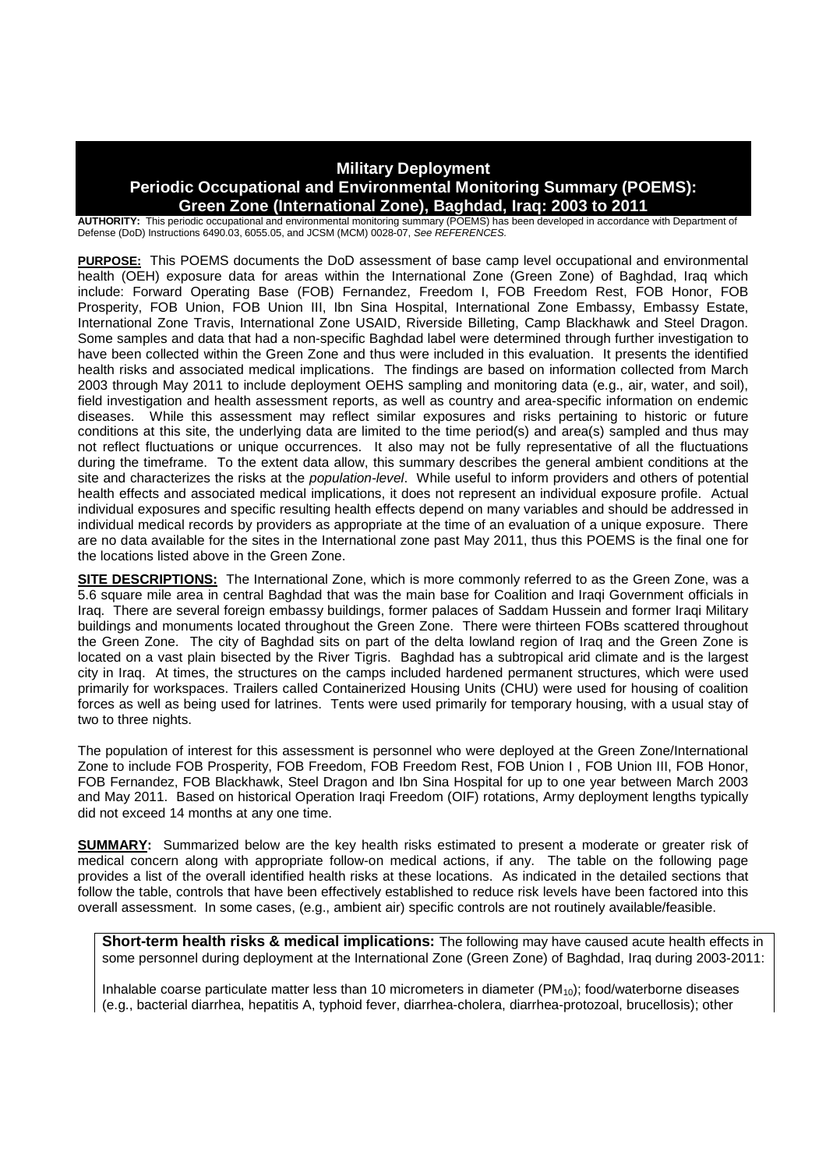# **Military Deployment Periodic Occupational and Environmental Monitoring Summary (POEMS): Green Zone (International Zone), Baghdad, Iraq: 2003 to 2011**

**AUTHORITY:** This periodic occupational and environmental monitoring summary (POEMS) has been developed in accordance with Department of Defense (DoD) Instructions 6490.03, 6055.05, and JCSM (MCM) 0028-07, *See REFERENCES.*

**PURPOSE:** This POEMS documents the DoD assessment of base camp level occupational and environmental health (OEH) exposure data for areas within the International Zone (Green Zone) of Baghdad, Iraq which include: Forward Operating Base (FOB) Fernandez, Freedom I, FOB Freedom Rest, FOB Honor, FOB Prosperity, FOB Union, FOB Union III, Ibn Sina Hospital, International Zone Embassy, Embassy Estate, International Zone Travis, International Zone USAID, Riverside Billeting, Camp Blackhawk and Steel Dragon. Some samples and data that had a non-specific Baghdad label were determined through further investigation to have been collected within the Green Zone and thus were included in this evaluation. It presents the identified health risks and associated medical implications. The findings are based on information collected from March 2003 through May 2011 to include deployment OEHS sampling and monitoring data (e.g., air, water, and soil), field investigation and health assessment reports, as well as country and area-specific information on endemic diseases. While this assessment may reflect similar exposures and risks pertaining to historic or future conditions at this site, the underlying data are limited to the time period(s) and area(s) sampled and thus may not reflect fluctuations or unique occurrences. It also may not be fully representative of all the fluctuations during the timeframe. To the extent data allow, this summary describes the general ambient conditions at the site and characterizes the risks at the *population-level*. While useful to inform providers and others of potential health effects and associated medical implications, it does not represent an individual exposure profile. Actual individual exposures and specific resulting health effects depend on many variables and should be addressed in individual medical records by providers as appropriate at the time of an evaluation of a unique exposure. There are no data available for the sites in the International zone past May 2011, thus this POEMS is the final one for the locations listed above in the Green Zone.

**SITE DESCRIPTIONS:** The International Zone, which is more commonly referred to as the Green Zone, was a 5.6 square mile area in central Baghdad that was the main base for Coalition and Iraqi Government officials in Iraq. There are several foreign embassy buildings, former palaces of Saddam Hussein and former Iraqi Military buildings and monuments located throughout the Green Zone. There were thirteen FOBs scattered throughout the Green Zone. The city of Baghdad sits on part of the delta lowland region of Iraq and the Green Zone is located on a vast plain bisected by the River Tigris. Baghdad has a subtropical arid climate and is the largest city in Iraq. At times, the structures on the camps included hardened permanent structures, which were used primarily for workspaces. Trailers called Containerized Housing Units (CHU) were used for housing of coalition forces as well as being used for latrines. Tents were used primarily for temporary housing, with a usual stay of two to three nights.

The population of interest for this assessment is personnel who were deployed at the Green Zone/International Zone to include FOB Prosperity, FOB Freedom, FOB Freedom Rest, FOB Union I, FOB Union III, FOB Honor, FOB Fernandez, FOB Blackhawk, Steel Dragon and Ibn Sina Hospital for up to one year between March 2003 and May 2011. Based on historical Operation Iraqi Freedom (OIF) rotations, Army deployment lengths typically did not exceed 14 months at any one time.

**SUMMARY:** Summarized below are the key health risks estimated to present a moderate or greater risk of medical concern along with appropriate follow-on medical actions, if any. The table on the following page provides a list of the overall identified health risks at these locations. As indicated in the detailed sections that follow the table, controls that have been effectively established to reduce risk levels have been factored into this overall assessment. In some cases, (e.g., ambient air) specific controls are not routinely available/feasible.

**Short-term health risks & medical implications:** The following may have caused acute health effects in some personnel during deployment at the International Zone (Green Zone) of Baghdad, Iraq during 2003-2011:

Inhalable coarse particulate matter less than 10 micrometers in diameter  $(PM_{10})$ ; food/waterborne diseases (e.g., bacterial diarrhea, hepatitis A, typhoid fever, diarrhea-cholera, diarrhea-protozoal, brucellosis); other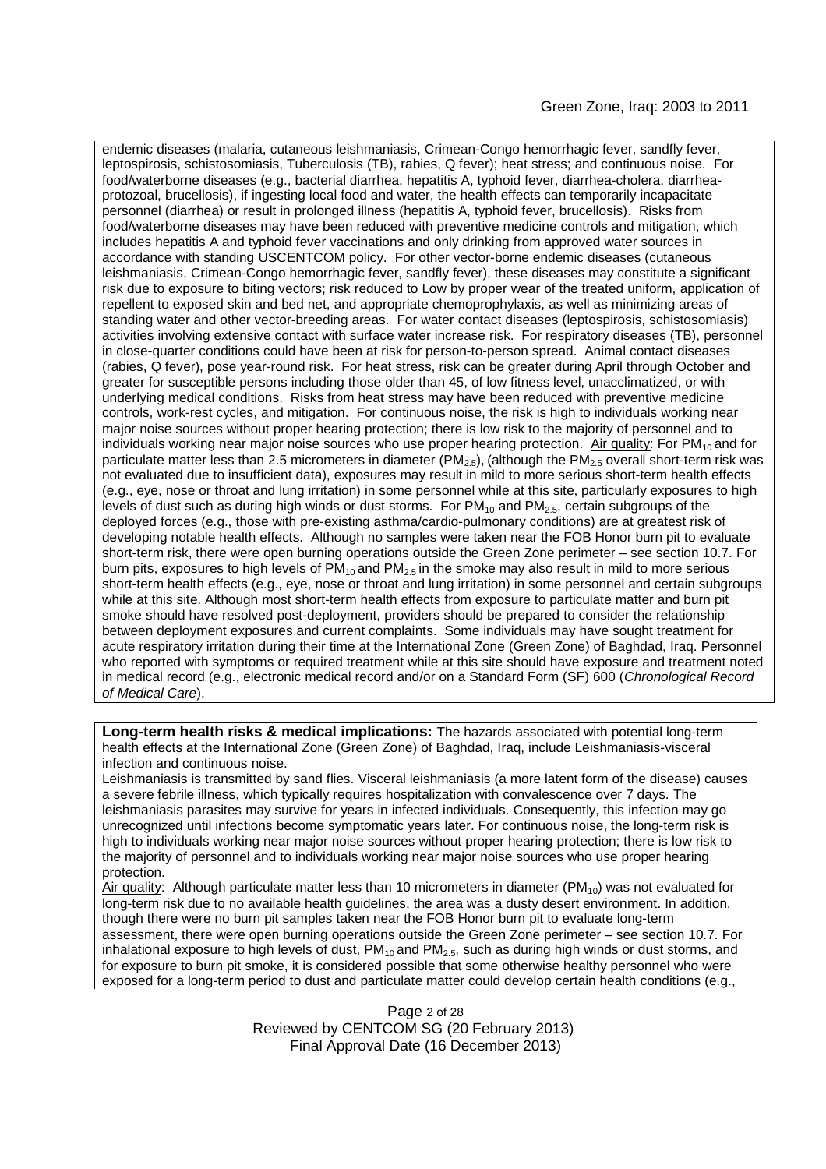endemic diseases (malaria, cutaneous leishmaniasis, Crimean-Congo hemorrhagic fever, sandfly fever, leptospirosis, schistosomiasis, Tuberculosis (TB), rabies, Q fever); heat stress; and continuous noise. For food/waterborne diseases (e.g., bacterial diarrhea, hepatitis A, typhoid fever, diarrhea-cholera, diarrheaprotozoal, brucellosis), if ingesting local food and water, the health effects can temporarily incapacitate personnel (diarrhea) or result in prolonged illness (hepatitis A, typhoid fever, brucellosis). Risks from food/waterborne diseases may have been reduced with preventive medicine controls and mitigation, which includes hepatitis A and typhoid fever vaccinations and only drinking from approved water sources in accordance with standing USCENTCOM policy. For other vector-borne endemic diseases (cutaneous leishmaniasis, Crimean-Congo hemorrhagic fever, sandfly fever), these diseases may constitute a significant risk due to exposure to biting vectors; risk reduced to Low by proper wear of the treated uniform, application of repellent to exposed skin and bed net, and appropriate chemoprophylaxis, as well as minimizing areas of standing water and other vector-breeding areas. For water contact diseases (leptospirosis, schistosomiasis) activities involving extensive contact with surface water increase risk. For respiratory diseases (TB), personnel in close-quarter conditions could have been at risk for person-to-person spread. Animal contact diseases (rabies, Q fever), pose year-round risk. For heat stress, risk can be greater during April through October and greater for susceptible persons including those older than 45, of low fitness level, unacclimatized, or with underlying medical conditions. Risks from heat stress may have been reduced with preventive medicine controls, work-rest cycles, and mitigation. For continuous noise, the risk is high to individuals working near major noise sources without proper hearing protection; there is low risk to the majority of personnel and to individuals working near major noise sources who use proper hearing protection. Air quality: For  $PM_{10}$  and for particulate matter less than 2.5 micrometers in diameter (PM<sub>2.5</sub>), (although the PM<sub>2.5</sub> overall short-term risk was not evaluated due to insufficient data), exposures may result in mild to more serious short-term health effects (e.g., eye, nose or throat and lung irritation) in some personnel while at this site, particularly exposures to high levels of dust such as during high winds or dust storms. For  $PM_{10}$  and  $PM_{2.5}$ , certain subgroups of the deployed forces (e.g., those with pre-existing asthma/cardio-pulmonary conditions) are at greatest risk of developing notable health effects. Although no samples were taken near the FOB Honor burn pit to evaluate short-term risk, there were open burning operations outside the Green Zone perimeter – see section 10.7. For burn pits, exposures to high levels of  $PM_{10}$  and  $PM_{2.5}$  in the smoke may also result in mild to more serious short-term health effects (e.g., eye, nose or throat and lung irritation) in some personnel and certain subgroups while at this site. Although most short-term health effects from exposure to particulate matter and burn pit smoke should have resolved post-deployment, providers should be prepared to consider the relationship between deployment exposures and current complaints. Some individuals may have sought treatment for acute respiratory irritation during their time at the International Zone (Green Zone) of Baghdad, Iraq. Personnel who reported with symptoms or required treatment while at this site should have exposure and treatment noted in medical record (e.g., electronic medical record and/or on a Standard Form (SF) 600 (*Chronological Record of Medical Care*).

**Long-term health risks & medical implications:** The hazards associated with potential long-term health effects at the International Zone (Green Zone) of Baghdad, Iraq, include Leishmaniasis-visceral infection and continuous noise.

Leishmaniasis is transmitted by sand flies. Visceral leishmaniasis (a more latent form of the disease) causes a severe febrile illness, which typically requires hospitalization with convalescence over 7 days. The leishmaniasis parasites may survive for years in infected individuals. Consequently, this infection may go unrecognized until infections become symptomatic years later. For continuous noise, the long-term risk is high to individuals working near major noise sources without proper hearing protection; there is low risk to the majority of personnel and to individuals working near major noise sources who use proper hearing protection.

Air quality: Although particulate matter less than 10 micrometers in diameter (PM<sub>10</sub>) was not evaluated for long-term risk due to no available health guidelines, the area was a dusty desert environment. In addition, though there were no burn pit samples taken near the FOB Honor burn pit to evaluate long-term assessment, there were open burning operations outside the Green Zone perimeter – see section 10.7. For inhalational exposure to high levels of dust,  $PM_{10}$  and  $PM_{25}$ , such as during high winds or dust storms, and for exposure to burn pit smoke, it is considered possible that some otherwise healthy personnel who were exposed for a long-term period to dust and particulate matter could develop certain health conditions (e.g.,

> Page 2 of 28 Reviewed by CENTCOM SG (20 February 2013) Final Approval Date (16 December 2013)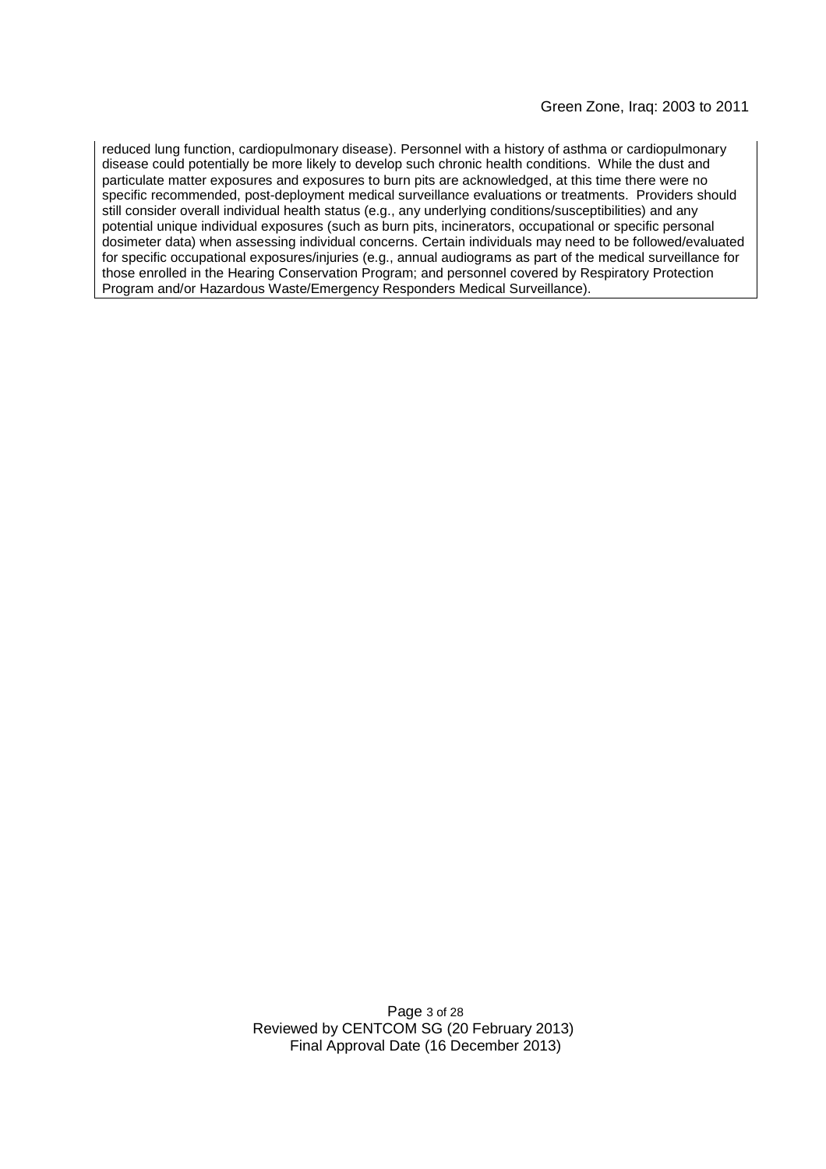reduced lung function, cardiopulmonary disease). Personnel with a history of asthma or cardiopulmonary disease could potentially be more likely to develop such chronic health conditions. While the dust and particulate matter exposures and exposures to burn pits are acknowledged, at this time there were no specific recommended, post-deployment medical surveillance evaluations or treatments. Providers should still consider overall individual health status (e.g., any underlying conditions/susceptibilities) and any potential unique individual exposures (such as burn pits, incinerators, occupational or specific personal dosimeter data) when assessing individual concerns. Certain individuals may need to be followed/evaluated for specific occupational exposures/injuries (e.g., annual audiograms as part of the medical surveillance for those enrolled in the Hearing Conservation Program; and personnel covered by Respiratory Protection Program and/or Hazardous Waste/Emergency Responders Medical Surveillance).

> Page 3 of 28 Reviewed by CENTCOM SG (20 February 2013) Final Approval Date (16 December 2013)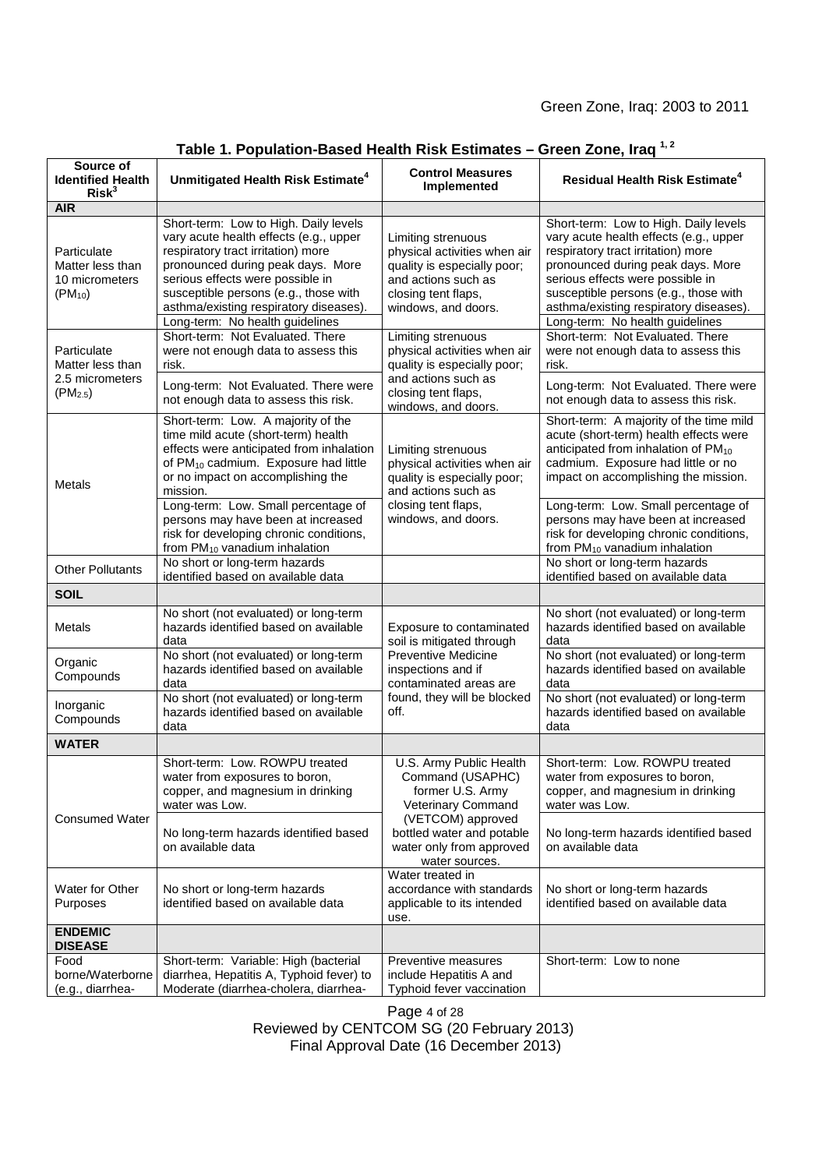| Source of<br><b>Identified Health</b><br>Risk <sup>3</sup>         | Unmitigated Health Risk Estimate <sup>4</sup>                                                                                                                                                                                                                                                                        | <b>Control Measures</b><br>Implemented                                                                                                                                                       | <b>Residual Health Risk Estimate<sup>4</sup></b>                                                                                                                                                                                                                                                                     |
|--------------------------------------------------------------------|----------------------------------------------------------------------------------------------------------------------------------------------------------------------------------------------------------------------------------------------------------------------------------------------------------------------|----------------------------------------------------------------------------------------------------------------------------------------------------------------------------------------------|----------------------------------------------------------------------------------------------------------------------------------------------------------------------------------------------------------------------------------------------------------------------------------------------------------------------|
| <b>AIR</b>                                                         |                                                                                                                                                                                                                                                                                                                      |                                                                                                                                                                                              |                                                                                                                                                                                                                                                                                                                      |
| Particulate<br>Matter less than<br>10 micrometers<br>$(PM_{10})$   | Short-term: Low to High. Daily levels<br>vary acute health effects (e.g., upper<br>respiratory tract irritation) more<br>pronounced during peak days. More<br>serious effects were possible in<br>susceptible persons (e.g., those with<br>asthma/existing respiratory diseases).<br>Long-term: No health guidelines | Limiting strenuous<br>physical activities when air<br>quality is especially poor;<br>and actions such as<br>closing tent flaps,<br>windows, and doors.                                       | Short-term: Low to High. Daily levels<br>vary acute health effects (e.g., upper<br>respiratory tract irritation) more<br>pronounced during peak days. More<br>serious effects were possible in<br>susceptible persons (e.g., those with<br>asthma/existing respiratory diseases).<br>Long-term: No health guidelines |
| Particulate<br>Matter less than<br>2.5 micrometers<br>$(PM_{2.5})$ | Short-term: Not Evaluated. There<br>were not enough data to assess this<br>risk.<br>Long-term: Not Evaluated. There were                                                                                                                                                                                             | Limiting strenuous<br>physical activities when air<br>quality is especially poor;<br>and actions such as<br>closing tent flaps,                                                              | Short-term: Not Evaluated. There<br>were not enough data to assess this<br>risk.<br>Long-term: Not Evaluated. There were                                                                                                                                                                                             |
|                                                                    | not enough data to assess this risk.                                                                                                                                                                                                                                                                                 | windows, and doors.                                                                                                                                                                          | not enough data to assess this risk.                                                                                                                                                                                                                                                                                 |
| Metals                                                             | Short-term: Low. A majority of the<br>time mild acute (short-term) health<br>effects were anticipated from inhalation<br>of PM <sub>10</sub> cadmium. Exposure had little<br>or no impact on accomplishing the<br>mission.<br>Long-term: Low. Small percentage of                                                    | Limiting strenuous<br>physical activities when air<br>quality is especially poor;<br>and actions such as<br>closing tent flaps,<br>windows, and doors.                                       | Short-term: A majority of the time mild<br>acute (short-term) health effects were<br>anticipated from inhalation of PM <sub>10</sub><br>cadmium. Exposure had little or no<br>impact on accomplishing the mission.<br>Long-term: Low. Small percentage of                                                            |
|                                                                    | persons may have been at increased<br>risk for developing chronic conditions,<br>from PM <sub>10</sub> vanadium inhalation                                                                                                                                                                                           |                                                                                                                                                                                              | persons may have been at increased<br>risk for developing chronic conditions,<br>from PM <sub>10</sub> vanadium inhalation                                                                                                                                                                                           |
| <b>Other Pollutants</b>                                            | No short or long-term hazards<br>identified based on available data                                                                                                                                                                                                                                                  |                                                                                                                                                                                              | No short or long-term hazards<br>identified based on available data                                                                                                                                                                                                                                                  |
| <b>SOIL</b>                                                        |                                                                                                                                                                                                                                                                                                                      |                                                                                                                                                                                              |                                                                                                                                                                                                                                                                                                                      |
| Metals                                                             | No short (not evaluated) or long-term<br>hazards identified based on available<br>data                                                                                                                                                                                                                               | Exposure to contaminated<br>soil is mitigated through                                                                                                                                        | No short (not evaluated) or long-term<br>hazards identified based on available<br>data                                                                                                                                                                                                                               |
| Organic<br>Compounds                                               | No short (not evaluated) or long-term<br>hazards identified based on available<br>data                                                                                                                                                                                                                               | <b>Preventive Medicine</b><br>inspections and if<br>contaminated areas are                                                                                                                   | No short (not evaluated) or long-term<br>hazards identified based on available<br>data                                                                                                                                                                                                                               |
| Inorganic<br>Compounds                                             | No short (not evaluated) or long-term<br>hazards identified based on available<br>data                                                                                                                                                                                                                               | found, they will be blocked<br>off.                                                                                                                                                          | No short (not evaluated) or long-term<br>hazards identified based on available<br>data                                                                                                                                                                                                                               |
| <b>WATER</b>                                                       |                                                                                                                                                                                                                                                                                                                      |                                                                                                                                                                                              |                                                                                                                                                                                                                                                                                                                      |
| <b>Consumed Water</b>                                              | Short-term: Low. ROWPU treated<br>water from exposures to boron,<br>copper, and magnesium in drinking<br>water was Low.                                                                                                                                                                                              | U.S. Army Public Health<br>Command (USAPHC)<br>former U.S. Army<br><b>Veterinary Command</b><br>(VETCOM) approved<br>bottled water and potable<br>water only from approved<br>water sources. | Short-term: Low. ROWPU treated<br>water from exposures to boron,<br>copper, and magnesium in drinking<br>water was Low.                                                                                                                                                                                              |
|                                                                    | No long-term hazards identified based<br>on available data                                                                                                                                                                                                                                                           |                                                                                                                                                                                              | No long-term hazards identified based<br>on available data                                                                                                                                                                                                                                                           |
| Water for Other<br>Purposes                                        | No short or long-term hazards<br>identified based on available data                                                                                                                                                                                                                                                  | Water treated in<br>accordance with standards<br>applicable to its intended<br>use.                                                                                                          | No short or long-term hazards<br>identified based on available data                                                                                                                                                                                                                                                  |
| <b>ENDEMIC</b><br><b>DISEASE</b>                                   |                                                                                                                                                                                                                                                                                                                      |                                                                                                                                                                                              |                                                                                                                                                                                                                                                                                                                      |
| Food<br>borne/Waterborne<br>(e.g., diarrhea-                       | Short-term: Variable: High (bacterial<br>diarrhea, Hepatitis A, Typhoid fever) to<br>Moderate (diarrhea-cholera, diarrhea-                                                                                                                                                                                           | Preventive measures<br>include Hepatitis A and<br>Typhoid fever vaccination                                                                                                                  | Short-term: Low to none                                                                                                                                                                                                                                                                                              |

# **Table 1. Population-Based Health Risk Estimates – Green Zone, Iraq 1, 2**

Page 4 of 28 Reviewed by CENTCOM SG (20 February 2013) Final Approval Date (16 December 2013)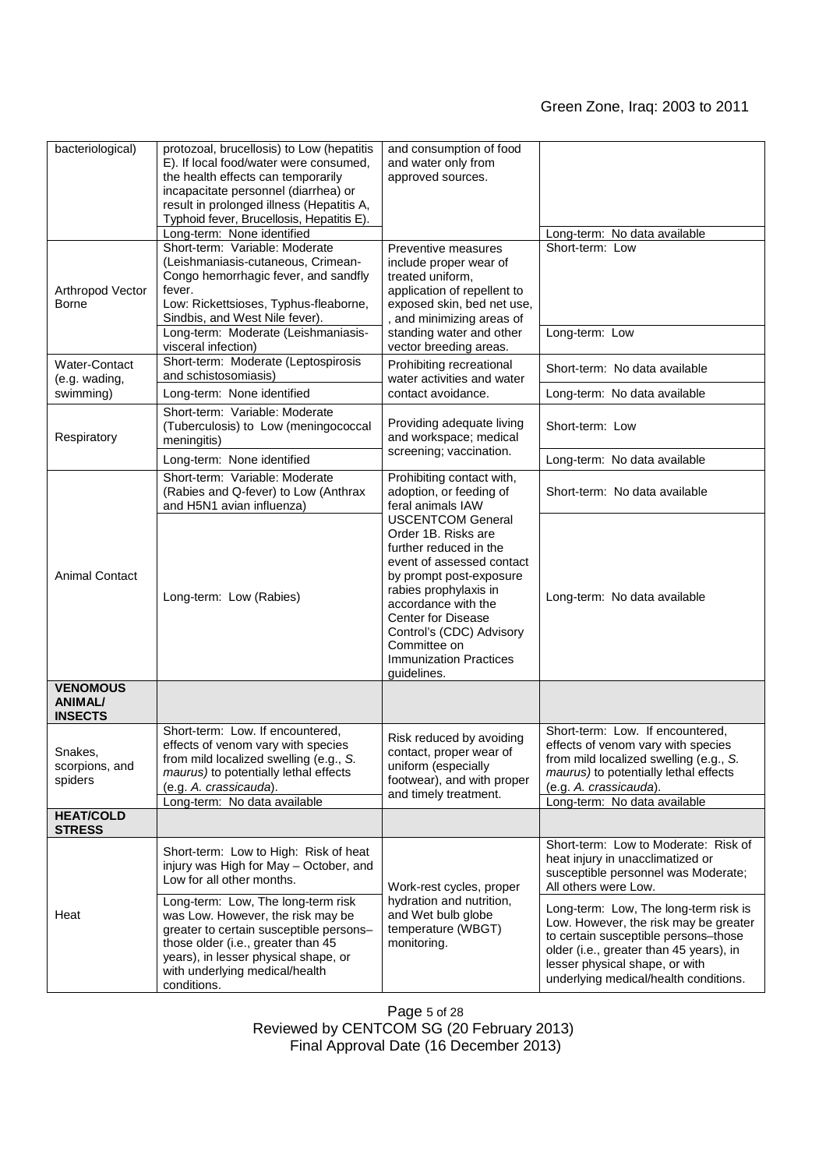| bacteriological)                                    | protozoal, brucellosis) to Low (hepatitis<br>E). If local food/water were consumed,<br>the health effects can temporarily<br>incapacitate personnel (diarrhea) or<br>result in prolonged illness (Hepatitis A,<br>Typhoid fever, Brucellosis, Hepatitis E).<br>Long-term: None identified | and consumption of food<br>and water only from<br>approved sources.                                                                                                                                                                                                                                        | Long-term: No data available                                                                                                                                                                                                                 |
|-----------------------------------------------------|-------------------------------------------------------------------------------------------------------------------------------------------------------------------------------------------------------------------------------------------------------------------------------------------|------------------------------------------------------------------------------------------------------------------------------------------------------------------------------------------------------------------------------------------------------------------------------------------------------------|----------------------------------------------------------------------------------------------------------------------------------------------------------------------------------------------------------------------------------------------|
| Arthropod Vector<br>Borne                           | Short-term: Variable: Moderate<br>(Leishmaniasis-cutaneous, Crimean-<br>Congo hemorrhagic fever, and sandfly<br>fever.<br>Low: Rickettsioses, Typhus-fleaborne,<br>Sindbis, and West Nile fever).<br>Long-term: Moderate (Leishmaniasis-<br>visceral infection)                           | Preventive measures<br>include proper wear of<br>treated uniform,<br>application of repellent to<br>exposed skin, bed net use,<br>, and minimizing areas of<br>standing water and other<br>vector breeding areas.                                                                                          | Short-term: Low<br>Long-term: Low                                                                                                                                                                                                            |
| <b>Water-Contact</b><br>(e.g. wading,               | Short-term: Moderate (Leptospirosis<br>and schistosomiasis)                                                                                                                                                                                                                               | Prohibiting recreational<br>water activities and water                                                                                                                                                                                                                                                     | Short-term: No data available                                                                                                                                                                                                                |
| swimming)                                           | Long-term: None identified                                                                                                                                                                                                                                                                | contact avoidance.                                                                                                                                                                                                                                                                                         | Long-term: No data available                                                                                                                                                                                                                 |
| Respiratory                                         | Short-term: Variable: Moderate<br>(Tuberculosis) to Low (meningococcal<br>meningitis)                                                                                                                                                                                                     | Providing adequate living<br>and workspace; medical<br>screening; vaccination.                                                                                                                                                                                                                             | Short-term: Low                                                                                                                                                                                                                              |
|                                                     | Long-term: None identified                                                                                                                                                                                                                                                                |                                                                                                                                                                                                                                                                                                            | Long-term: No data available                                                                                                                                                                                                                 |
|                                                     | Short-term: Variable: Moderate<br>(Rabies and Q-fever) to Low (Anthrax<br>and H5N1 avian influenza)                                                                                                                                                                                       | Prohibiting contact with,<br>adoption, or feeding of<br>feral animals IAW                                                                                                                                                                                                                                  | Short-term: No data available                                                                                                                                                                                                                |
| <b>Animal Contact</b>                               | Long-term: Low (Rabies)                                                                                                                                                                                                                                                                   | <b>USCENTCOM General</b><br>Order 1B. Risks are<br>further reduced in the<br>event of assessed contact<br>by prompt post-exposure<br>rabies prophylaxis in<br>accordance with the<br><b>Center for Disease</b><br>Control's (CDC) Advisory<br>Committee on<br><b>Immunization Practices</b><br>quidelines. | Long-term: No data available                                                                                                                                                                                                                 |
| <b>VENOMOUS</b><br><b>ANIMAL/</b><br><b>INSECTS</b> |                                                                                                                                                                                                                                                                                           |                                                                                                                                                                                                                                                                                                            |                                                                                                                                                                                                                                              |
| Snakes,<br>scorpions, and<br>spiders                | Short-term: Low. If encountered,<br>effects of venom vary with species<br>from mild localized swelling (e.g., S.<br>maurus) to potentially lethal effects<br>(e.g. A. crassicauda).<br>Long-term: No data available                                                                       | Risk reduced by avoiding<br>contact, proper wear of<br>uniform (especially<br>footwear), and with proper<br>and timely treatment.                                                                                                                                                                          | Short-term: Low. If encountered,<br>effects of venom vary with species<br>from mild localized swelling (e.g., S.<br>maurus) to potentially lethal effects<br>(e.g. A. crassicauda).<br>Long-term: No data available                          |
| <b>HEAT/COLD</b><br><b>STRESS</b>                   |                                                                                                                                                                                                                                                                                           |                                                                                                                                                                                                                                                                                                            |                                                                                                                                                                                                                                              |
| Heat                                                | Short-term: Low to High: Risk of heat<br>injury was High for May - October, and<br>Low for all other months.                                                                                                                                                                              | Work-rest cycles, proper<br>hydration and nutrition,<br>and Wet bulb globe<br>temperature (WBGT)<br>monitoring.                                                                                                                                                                                            | Short-term: Low to Moderate: Risk of<br>heat injury in unacclimatized or<br>susceptible personnel was Moderate;<br>All others were Low.                                                                                                      |
|                                                     | Long-term: Low, The long-term risk<br>was Low. However, the risk may be<br>greater to certain susceptible persons-<br>those older (i.e., greater than 45<br>years), in lesser physical shape, or<br>with underlying medical/health<br>conditions.                                         |                                                                                                                                                                                                                                                                                                            | Long-term: Low, The long-term risk is<br>Low. However, the risk may be greater<br>to certain susceptible persons-those<br>older (i.e., greater than 45 years), in<br>lesser physical shape, or with<br>underlying medical/health conditions. |

Page 5 of 28 Reviewed by CENTCOM SG (20 February 2013) Final Approval Date (16 December 2013)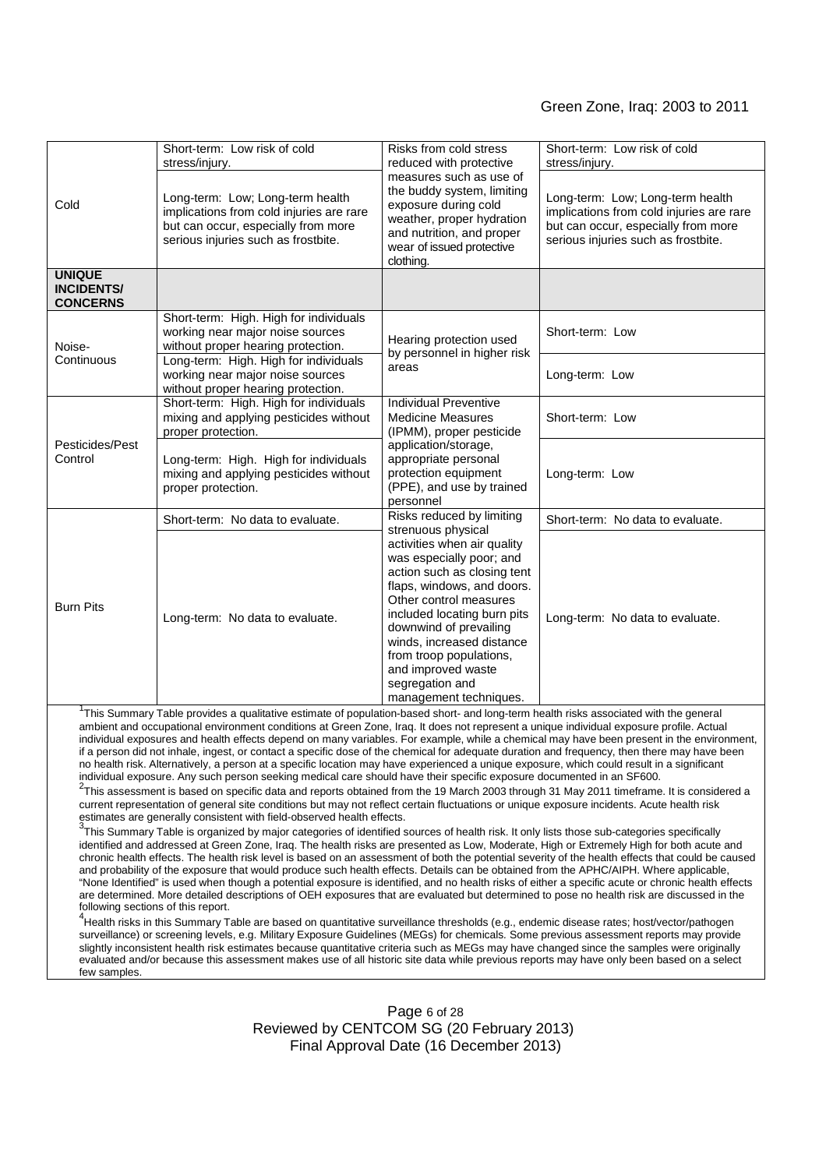| Cold                                                  | Short-term: Low risk of cold<br>stress/injury.                                                                                                             | Risks from cold stress<br>reduced with protective<br>measures such as use of<br>the buddy system, limiting<br>exposure during cold<br>weather, proper hydration<br>and nutrition, and proper<br>wear of issued protective<br>clothing.                                                                                                                                                | Short-term: Low risk of cold<br>stress/injury.                                                                                                             |
|-------------------------------------------------------|------------------------------------------------------------------------------------------------------------------------------------------------------------|---------------------------------------------------------------------------------------------------------------------------------------------------------------------------------------------------------------------------------------------------------------------------------------------------------------------------------------------------------------------------------------|------------------------------------------------------------------------------------------------------------------------------------------------------------|
|                                                       | Long-term: Low; Long-term health<br>implications from cold injuries are rare<br>but can occur, especially from more<br>serious injuries such as frostbite. |                                                                                                                                                                                                                                                                                                                                                                                       | Long-term: Low; Long-term health<br>implications from cold injuries are rare<br>but can occur, especially from more<br>serious injuries such as frostbite. |
| <b>UNIQUE</b><br><b>INCIDENTS/</b><br><b>CONCERNS</b> |                                                                                                                                                            |                                                                                                                                                                                                                                                                                                                                                                                       |                                                                                                                                                            |
| Noise-<br>Continuous                                  | Short-term: High. High for individuals<br>working near major noise sources<br>without proper hearing protection.                                           | Hearing protection used<br>by personnel in higher risk<br>areas                                                                                                                                                                                                                                                                                                                       | Short-term: Low                                                                                                                                            |
|                                                       | Long-term: High. High for individuals<br>working near major noise sources<br>without proper hearing protection.                                            |                                                                                                                                                                                                                                                                                                                                                                                       | Long-term: Low                                                                                                                                             |
| Pesticides/Pest<br>Control                            | Short-term: High. High for individuals<br>mixing and applying pesticides without<br>proper protection.                                                     | <b>Individual Preventive</b><br><b>Medicine Measures</b><br>(IPMM), proper pesticide                                                                                                                                                                                                                                                                                                  | Short-term: Low                                                                                                                                            |
|                                                       | Long-term: High. High for individuals<br>mixing and applying pesticides without<br>proper protection.                                                      | application/storage,<br>appropriate personal<br>protection equipment<br>(PPE), and use by trained<br>personnel                                                                                                                                                                                                                                                                        | Long-term: Low                                                                                                                                             |
| <b>Burn Pits</b>                                      | Short-term: No data to evaluate.                                                                                                                           | Risks reduced by limiting<br>strenuous physical<br>activities when air quality<br>was especially poor; and<br>action such as closing tent<br>flaps, windows, and doors.<br>Other control measures<br>included locating burn pits<br>downwind of prevailing<br>winds, increased distance<br>from troop populations,<br>and improved waste<br>segregation and<br>management techniques. | Short-term: No data to evaluate.                                                                                                                           |
|                                                       | Long-term: No data to evaluate.                                                                                                                            |                                                                                                                                                                                                                                                                                                                                                                                       | Long-term: No data to evaluate.                                                                                                                            |

<sup>1</sup>This Summary Table provides a qualitative estimate of population-based short- and long-term health risks associated with the general ambient and occupational environment conditions at Green Zone, Iraq. It does not represent a unique individual exposure profile. Actual individual exposures and health effects depend on many variables. For example, while a chemical may have been present in the environment, if a person did not inhale, ingest, or contact a specific dose of the chemical for adequate duration and frequency, then there may have been no health risk. Alternatively, a person at a specific location may have experienced a unique exposure, which could result in a significant individual exposure. Any such person seeking medical care should have their specific exposure documented in an SF600.

 $2$ This assessment is based on specific data and reports obtained from the 19 March 2003 through 31 May 2011 timeframe. It is considered a current representation of general site conditions but may not reflect certain fluctuations or unique exposure incidents. Acute health risk

estimates are generally consistent with field-observed health effects.<br><sup>3</sup>This Summary Table is organized by major categories of identified sources of health risk. It only lists those sub-categories specifically identified and addressed at Green Zone, Iraq. The health risks are presented as Low, Moderate, High or Extremely High for both acute and chronic health effects. The health risk level is based on an assessment of both the potential severity of the health effects that could be caused and probability of the exposure that would produce such health effects. Details can be obtained from the APHC/AIPH. Where applicable, "None Identified" is used when though a potential exposure is identified, and no health risks of either a specific acute or chronic health effects are determined. More detailed descriptions of OEH exposures that are evaluated but determined to pose no health risk are discussed in the following sections of this report.

4<br>Health risks in this Summary Table are based on quantitative surveillance thresholds (e.g., endemic disease rates; host/vector/pathogen surveillance) or screening levels, e.g. Military Exposure Guidelines (MEGs) for chemicals*.* Some previous assessment reports may provide slightly inconsistent health risk estimates because quantitative criteria such as MEGs may have changed since the samples were originally evaluated and/or because this assessment makes use of all historic site data while previous reports may have only been based on a select few samples.

> Page 6 of 28 Reviewed by CENTCOM SG (20 February 2013) Final Approval Date (16 December 2013)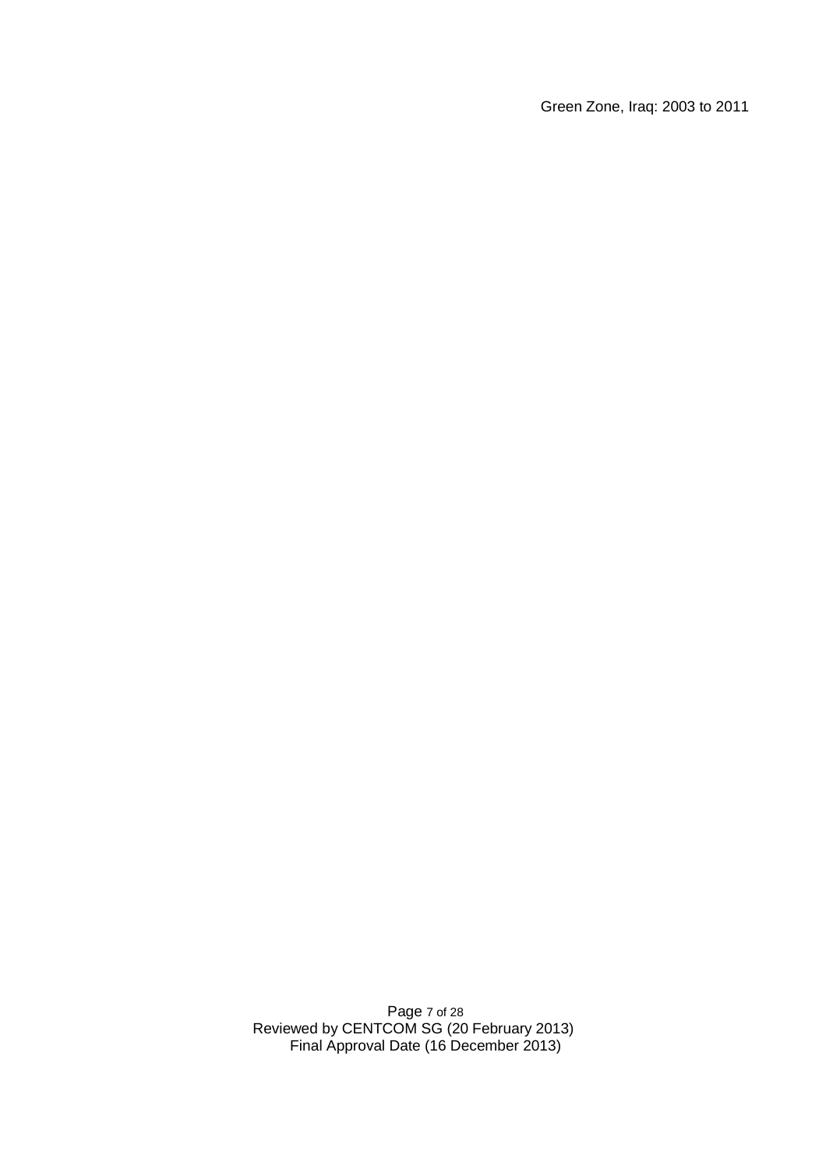Page 7 of 28 Reviewed by CENTCOM SG (20 February 2013) Final Approval Date (16 December 2013)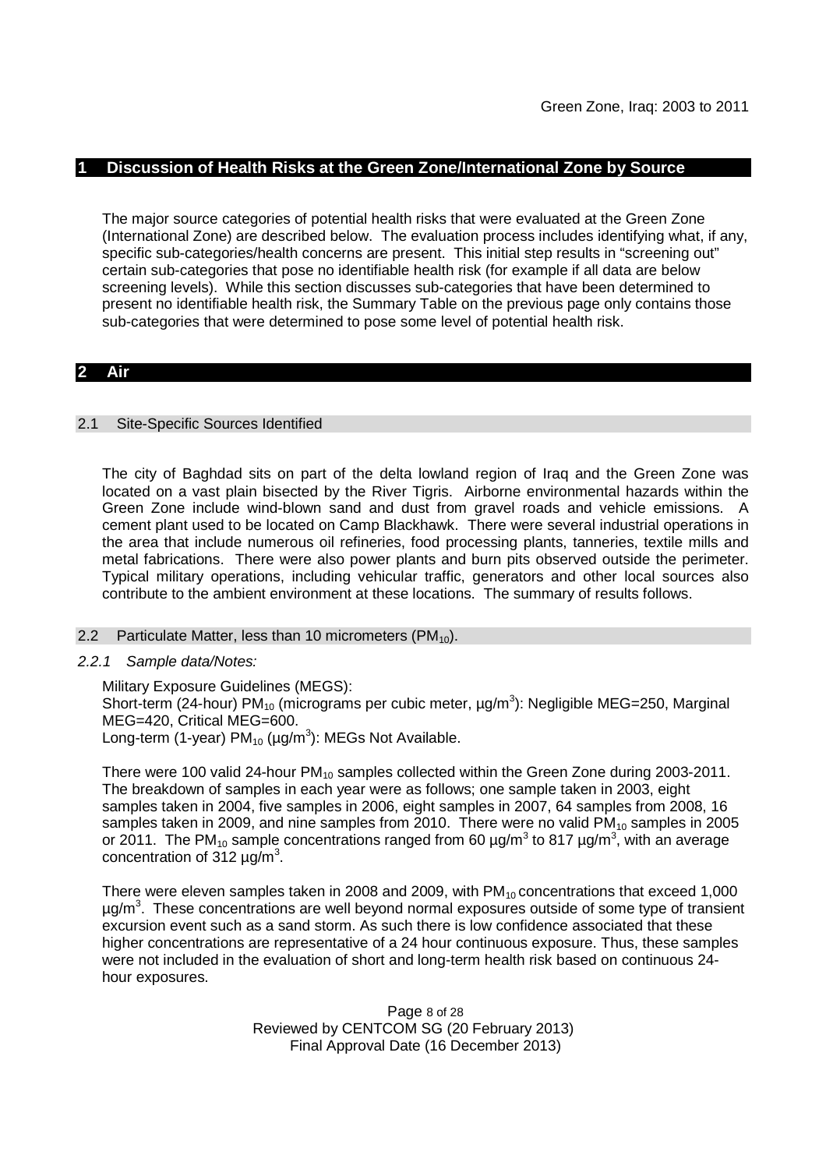# **1 Discussion of Health Risks at the Green Zone/International Zone by Source**

The major source categories of potential health risks that were evaluated at the Green Zone (International Zone) are described below. The evaluation process includes identifying what, if any, specific sub-categories/health concerns are present. This initial step results in "screening out" certain sub-categories that pose no identifiable health risk (for example if all data are below screening levels). While this section discusses sub-categories that have been determined to present no identifiable health risk, the Summary Table on the previous page only contains those sub-categories that were determined to pose some level of potential health risk.

## **2 Air**

#### 2.1 Site-Specific Sources Identified

The city of Baghdad sits on part of the delta lowland region of Iraq and the Green Zone was located on a vast plain bisected by the River Tigris. Airborne environmental hazards within the Green Zone include wind-blown sand and dust from gravel roads and vehicle emissions. A cement plant used to be located on Camp Blackhawk. There were several industrial operations in the area that include numerous oil refineries, food processing plants, tanneries, textile mills and metal fabrications. There were also power plants and burn pits observed outside the perimeter. Typical military operations, including vehicular traffic, generators and other local sources also contribute to the ambient environment at these locations. The summary of results follows.

## 2.2 Particulate Matter, less than 10 micrometers  $(PM_{10})$ .

## *2.2.1 Sample data/Notes:*

Military Exposure Guidelines (MEGS): Short-term (24-hour) PM<sub>10</sub> (micrograms per cubic meter, µg/m<sup>3</sup>): Negligible MEG=250, Marginal MEG=420, Critical MEG=600.

Long-term (1-year) PM<sub>10</sub> (µg/m<sup>3</sup>): MEGs Not Available.

There were 100 valid 24-hour  $PM_{10}$  samples collected within the Green Zone during 2003-2011. The breakdown of samples in each year were as follows; one sample taken in 2003, eight samples taken in 2004, five samples in 2006, eight samples in 2007, 64 samples from 2008, 16 samples taken in 2009, and nine samples from 2010. There were no valid  $PM_{10}$  samples in 2005 or 2011. The PM<sub>10</sub> sample concentrations ranged from 60 µg/m $^3$  to 817 µg/m $^3$ , with an average concentration of 312  $\mu$ g/m<sup>3</sup>.

There were eleven samples taken in 2008 and 2009, with  $PM_{10}$  concentrations that exceed 1,000  $\mu$ g/m<sup>3</sup>. These concentrations are well beyond normal exposures outside of some type of transient excursion event such as a sand storm. As such there is low confidence associated that these higher concentrations are representative of a 24 hour continuous exposure. Thus, these samples were not included in the evaluation of short and long-term health risk based on continuous 24 hour exposures.

> Page 8 of 28 Reviewed by CENTCOM SG (20 February 2013) Final Approval Date (16 December 2013)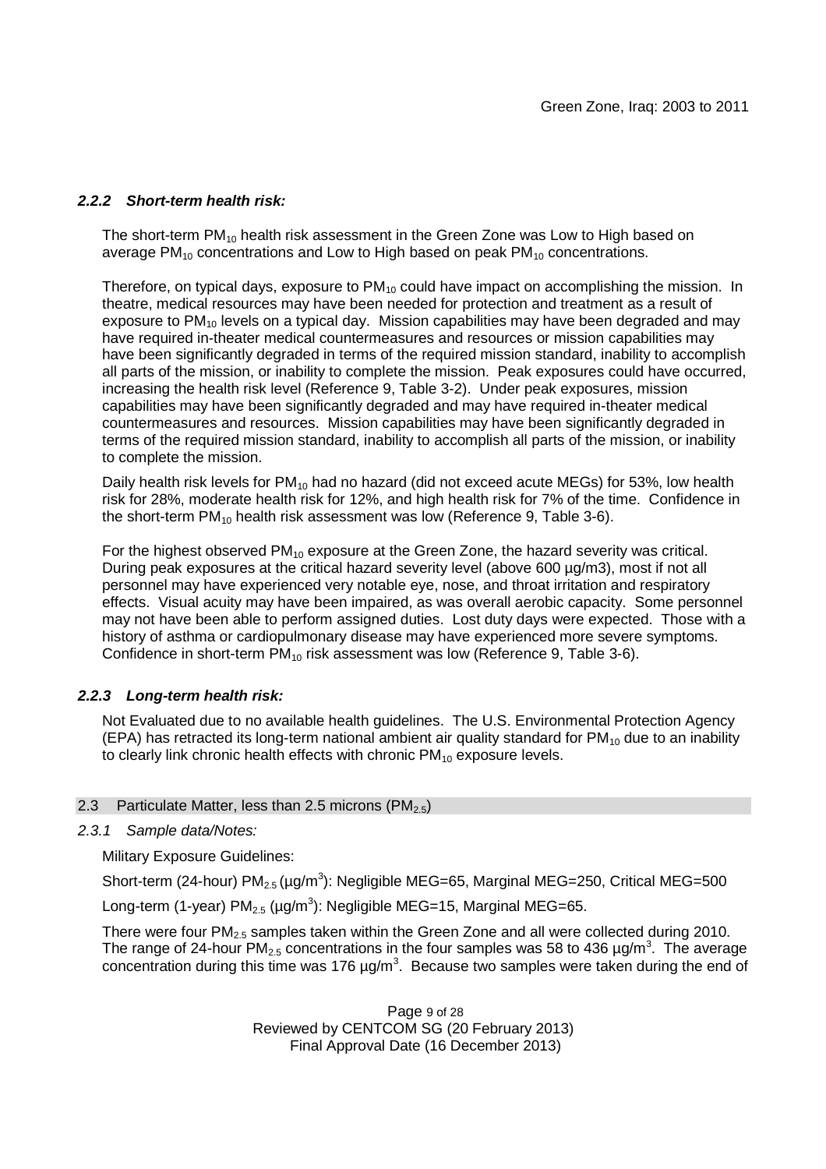# *2.2.2 Short-term health risk:*

The short-term  $PM_{10}$  health risk assessment in the Green Zone was Low to High based on average PM $_{10}$  concentrations and Low to High based on peak PM $_{10}$  concentrations.

Therefore, on typical days, exposure to  $PM_{10}$  could have impact on accomplishing the mission. In theatre, medical resources may have been needed for protection and treatment as a result of exposure to  $PM_{10}$  levels on a typical day. Mission capabilities may have been degraded and may have required in-theater medical countermeasures and resources or mission capabilities may have been significantly degraded in terms of the required mission standard, inability to accomplish all parts of the mission, or inability to complete the mission. Peak exposures could have occurred, increasing the health risk level (Reference 9, Table 3-2). Under peak exposures, mission capabilities may have been significantly degraded and may have required in-theater medical countermeasures and resources. Mission capabilities may have been significantly degraded in terms of the required mission standard, inability to accomplish all parts of the mission, or inability to complete the mission.

Daily health risk levels for  $PM_{10}$  had no hazard (did not exceed acute MEGs) for 53%, low health risk for 28%, moderate health risk for 12%, and high health risk for 7% of the time. Confidence in the short-term  $PM_{10}$  health risk assessment was low (Reference 9, Table 3-6).

For the highest observed  $PM_{10}$  exposure at the Green Zone, the hazard severity was critical. During peak exposures at the critical hazard severity level (above 600 µg/m3), most if not all personnel may have experienced very notable eye, nose, and throat irritation and respiratory effects. Visual acuity may have been impaired, as was overall aerobic capacity. Some personnel may not have been able to perform assigned duties. Lost duty days were expected. Those with a history of asthma or cardiopulmonary disease may have experienced more severe symptoms. Confidence in short-term  $PM_{10}$  risk assessment was low (Reference 9, Table 3-6).

## *2.2.3 Long-term health risk:*

Not Evaluated due to no available health guidelines. The U.S. Environmental Protection Agency (EPA) has retracted its long-term national ambient air quality standard for  $PM_{10}$  due to an inability to clearly link chronic health effects with chronic  $PM_{10}$  exposure levels.

## 2.3 Particulate Matter, less than 2.5 microns (PM<sub>2.5</sub>)

*2.3.1 Sample data/Notes:*

Military Exposure Guidelines:

Short-term (24-hour)  $PM_{2.5}$ (µg/m<sup>3</sup>): Negligible MEG=65, Marginal MEG=250, Critical MEG=500

Long-term (1-year) PM $_{2.5}$  (µg/m $^3$ ): Negligible MEG=15, Marginal MEG=65.

There were four PM<sub>2.5</sub> samples taken within the Green Zone and all were collected during 2010. The range of 24-hour PM<sub>2.5</sub> concentrations in the four samples was 58 to 436 µg/m<sup>3</sup>. The average concentration during this time was 176  $\mu$ g/m<sup>3</sup>. Because two samples were taken during the end of

> Page 9 of 28 Reviewed by CENTCOM SG (20 February 2013) Final Approval Date (16 December 2013)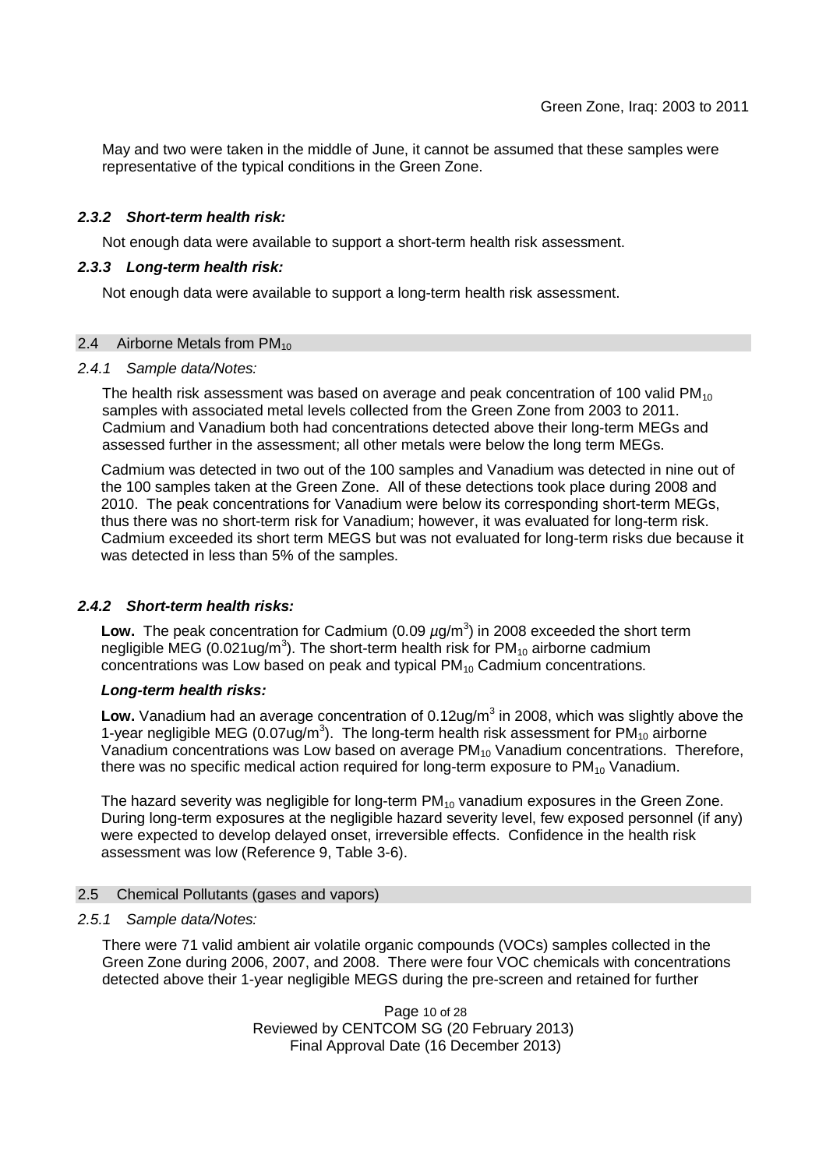May and two were taken in the middle of June, it cannot be assumed that these samples were representative of the typical conditions in the Green Zone.

#### *2.3.2 Short-term health risk:*

Not enough data were available to support a short-term health risk assessment.

#### *2.3.3 Long-term health risk:*

Not enough data were available to support a long-term health risk assessment.

#### 2.4 Airborne Metals from  $PM_{10}$

#### *2.4.1 Sample data/Notes:*

The health risk assessment was based on average and peak concentration of 100 valid  $PM_{10}$ samples with associated metal levels collected from the Green Zone from 2003 to 2011. Cadmium and Vanadium both had concentrations detected above their long-term MEGs and assessed further in the assessment; all other metals were below the long term MEGs.

Cadmium was detected in two out of the 100 samples and Vanadium was detected in nine out of the 100 samples taken at the Green Zone. All of these detections took place during 2008 and 2010. The peak concentrations for Vanadium were below its corresponding short-term MEGs, thus there was no short-term risk for Vanadium; however, it was evaluated for long-term risk. Cadmium exceeded its short term MEGS but was not evaluated for long-term risks due because it was detected in less than 5% of the samples.

## *2.4.2 Short-term health risks:*

Low. The peak concentration for Cadmium (0.09  $\mu$ g/m<sup>3</sup>) in 2008 exceeded the short term negligible MEG (0.021ug/m<sup>3</sup>). The short-term health risk for PM<sub>10</sub> airborne cadmium concentrations was Low based on peak and typical  $PM_{10}$  Cadmium concentrations.

# *Long-term health risks:*

Low. Vanadium had an average concentration of 0.12ug/m<sup>3</sup> in 2008, which was slightly above the 1-year negligible MEG (0.07ug/m<sup>3</sup>). The long-term health risk assessment for PM<sub>10</sub> airborne Vanadium concentrations was Low based on average  $PM_{10}$  Vanadium concentrations. Therefore, there was no specific medical action required for long-term exposure to  $PM_{10}$  Vanadium.

The hazard severity was negligible for long-term  $PM_{10}$  vanadium exposures in the Green Zone. During long-term exposures at the negligible hazard severity level, few exposed personnel (if any) were expected to develop delayed onset, irreversible effects. Confidence in the health risk assessment was low (Reference 9, Table 3-6).

#### 2.5 Chemical Pollutants (gases and vapors)

#### *2.5.1 Sample data/Notes:*

There were 71 valid ambient air volatile organic compounds (VOCs) samples collected in the Green Zone during 2006, 2007, and 2008. There were four VOC chemicals with concentrations detected above their 1-year negligible MEGS during the pre-screen and retained for further

> Page 10 of 28 Reviewed by CENTCOM SG (20 February 2013) Final Approval Date (16 December 2013)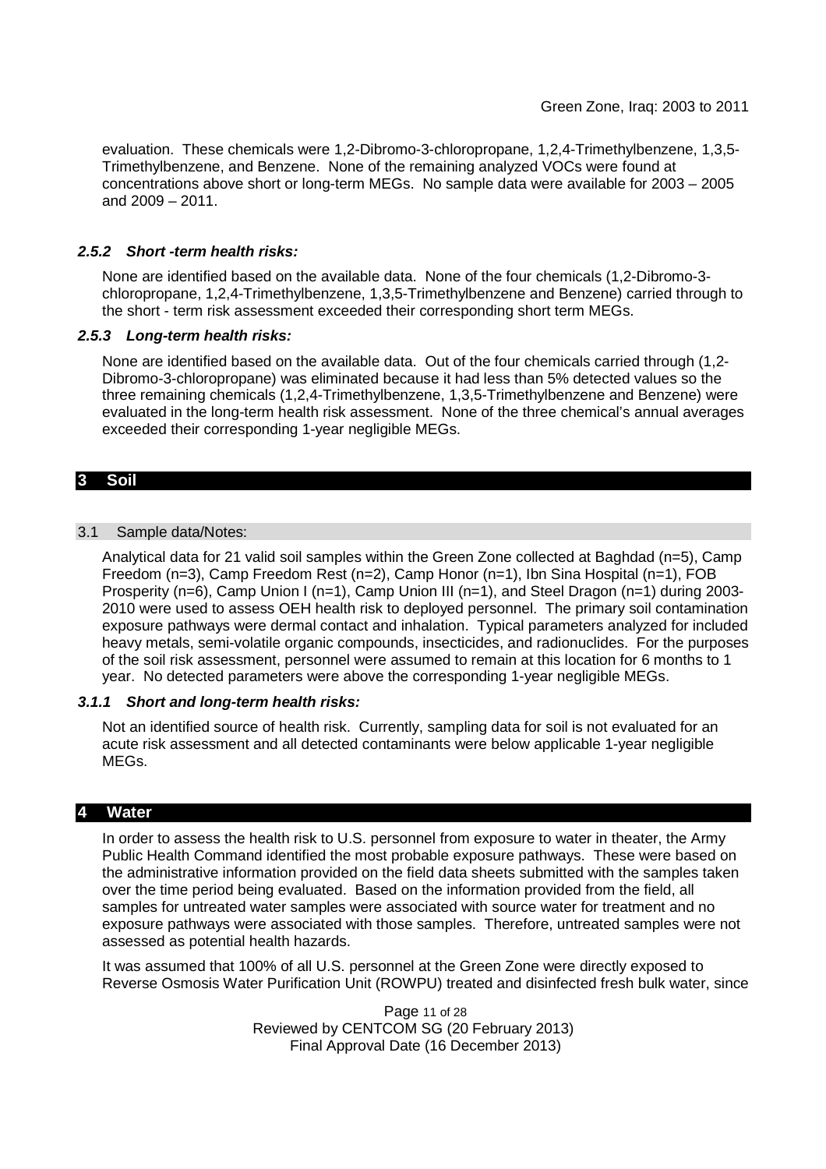evaluation. These chemicals were 1,2-Dibromo-3-chloropropane, 1,2,4-Trimethylbenzene, 1,3,5- Trimethylbenzene, and Benzene. None of the remaining analyzed VOCs were found at concentrations above short or long-term MEGs. No sample data were available for 2003 – 2005 and 2009 – 2011.

# *2.5.2 Short -term health risks:*

None are identified based on the available data. None of the four chemicals (1,2-Dibromo-3 chloropropane, 1,2,4-Trimethylbenzene, 1,3,5-Trimethylbenzene and Benzene) carried through to the short - term risk assessment exceeded their corresponding short term MEGs.

## *2.5.3 Long-term health risks:*

None are identified based on the available data. Out of the four chemicals carried through (1,2- Dibromo-3-chloropropane) was eliminated because it had less than 5% detected values so the three remaining chemicals (1,2,4-Trimethylbenzene, 1,3,5-Trimethylbenzene and Benzene) were evaluated in the long-term health risk assessment. None of the three chemical's annual averages exceeded their corresponding 1-year negligible MEGs.

# **3 Soil**

## 3.1 Sample data/Notes:

Analytical data for 21 valid soil samples within the Green Zone collected at Baghdad (n=5), Camp Freedom (n=3), Camp Freedom Rest (n=2), Camp Honor (n=1), Ibn Sina Hospital (n=1), FOB Prosperity (n=6), Camp Union I (n=1), Camp Union III (n=1), and Steel Dragon (n=1) during 2003-2010 were used to assess OEH health risk to deployed personnel. The primary soil contamination exposure pathways were dermal contact and inhalation. Typical parameters analyzed for included heavy metals, semi-volatile organic compounds, insecticides, and radionuclides. For the purposes of the soil risk assessment, personnel were assumed to remain at this location for 6 months to 1 year. No detected parameters were above the corresponding 1-year negligible MEGs.

## *3.1.1 Short and long-term health risks:*

Not an identified source of health risk. Currently, sampling data for soil is not evaluated for an acute risk assessment and all detected contaminants were below applicable 1-year negligible MEGs.

## **4 Water**

In order to assess the health risk to U.S. personnel from exposure to water in theater, the Army Public Health Command identified the most probable exposure pathways. These were based on the administrative information provided on the field data sheets submitted with the samples taken over the time period being evaluated. Based on the information provided from the field, all samples for untreated water samples were associated with source water for treatment and no exposure pathways were associated with those samples. Therefore, untreated samples were not assessed as potential health hazards.

It was assumed that 100% of all U.S. personnel at the Green Zone were directly exposed to Reverse Osmosis Water Purification Unit (ROWPU) treated and disinfected fresh bulk water, since

> Page 11 of 28 Reviewed by CENTCOM SG (20 February 2013) Final Approval Date (16 December 2013)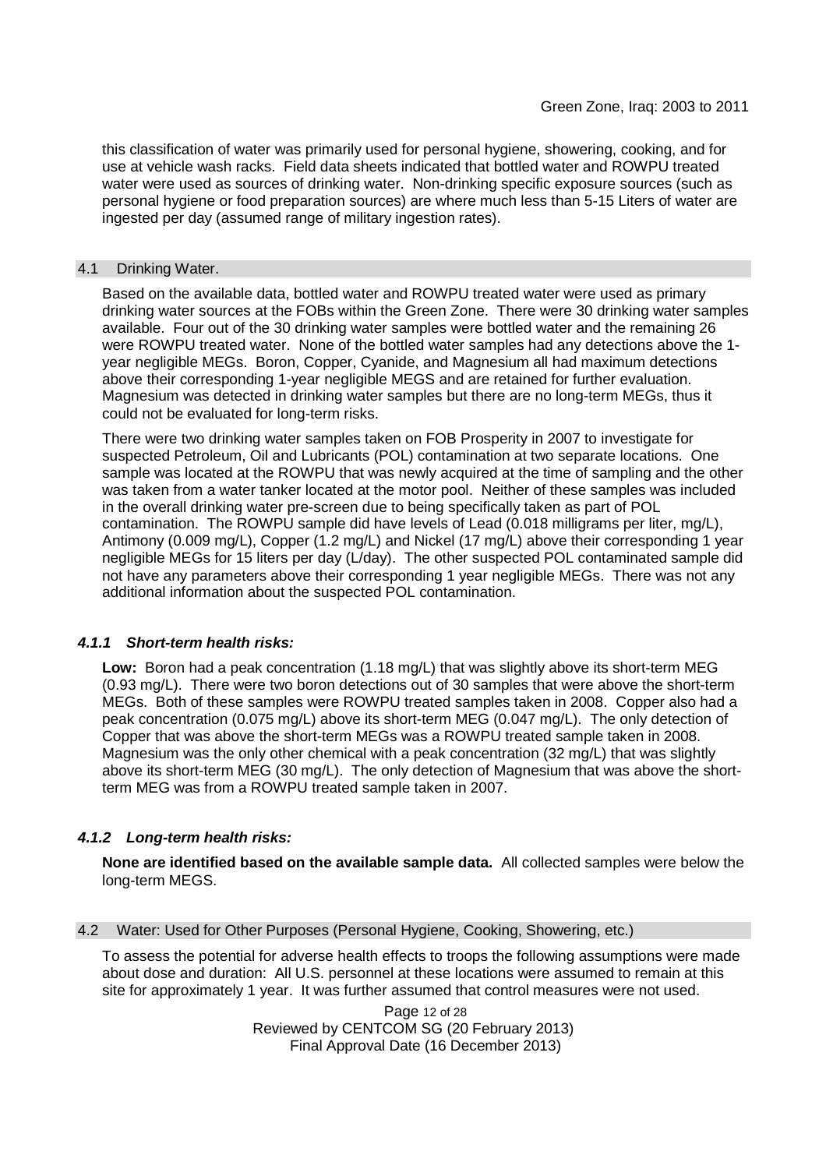this classification of water was primarily used for personal hygiene, showering, cooking, and for use at vehicle wash racks. Field data sheets indicated that bottled water and ROWPU treated water were used as sources of drinking water. Non-drinking specific exposure sources (such as personal hygiene or food preparation sources) are where much less than 5-15 Liters of water are ingested per day (assumed range of military ingestion rates).

# 4.1 Drinking Water.

Based on the available data, bottled water and ROWPU treated water were used as primary drinking water sources at the FOBs within the Green Zone. There were 30 drinking water samples available. Four out of the 30 drinking water samples were bottled water and the remaining 26 were ROWPU treated water. None of the bottled water samples had any detections above the 1 year negligible MEGs. Boron, Copper, Cyanide, and Magnesium all had maximum detections above their corresponding 1-year negligible MEGS and are retained for further evaluation. Magnesium was detected in drinking water samples but there are no long-term MEGs, thus it could not be evaluated for long-term risks.

There were two drinking water samples taken on FOB Prosperity in 2007 to investigate for suspected Petroleum, Oil and Lubricants (POL) contamination at two separate locations. One sample was located at the ROWPU that was newly acquired at the time of sampling and the other was taken from a water tanker located at the motor pool. Neither of these samples was included in the overall drinking water pre-screen due to being specifically taken as part of POL contamination. The ROWPU sample did have levels of Lead (0.018 milligrams per liter, mg/L), Antimony (0.009 mg/L), Copper (1.2 mg/L) and Nickel (17 mg/L) above their corresponding 1 year negligible MEGs for 15 liters per day (L/day). The other suspected POL contaminated sample did not have any parameters above their corresponding 1 year negligible MEGs. There was not any additional information about the suspected POL contamination.

# *4.1.1 Short-term health risks:*

**Low:** Boron had a peak concentration (1.18 mg/L) that was slightly above its short-term MEG (0.93 mg/L). There were two boron detections out of 30 samples that were above the short-term MEGs. Both of these samples were ROWPU treated samples taken in 2008. Copper also had a peak concentration (0.075 mg/L) above its short-term MEG (0.047 mg/L). The only detection of Copper that was above the short-term MEGs was a ROWPU treated sample taken in 2008. Magnesium was the only other chemical with a peak concentration (32 mg/L) that was slightly above its short-term MEG (30 mg/L). The only detection of Magnesium that was above the shortterm MEG was from a ROWPU treated sample taken in 2007.

# *4.1.2 Long-term health risks:*

**None are identified based on the available sample data.** All collected samples were below the long-term MEGS.

## 4.2 Water: Used for Other Purposes (Personal Hygiene, Cooking, Showering, etc.)

To assess the potential for adverse health effects to troops the following assumptions were made about dose and duration: All U.S. personnel at these locations were assumed to remain at this site for approximately 1 year. It was further assumed that control measures were not used.

> Page 12 of 28 Reviewed by CENTCOM SG (20 February 2013) Final Approval Date (16 December 2013)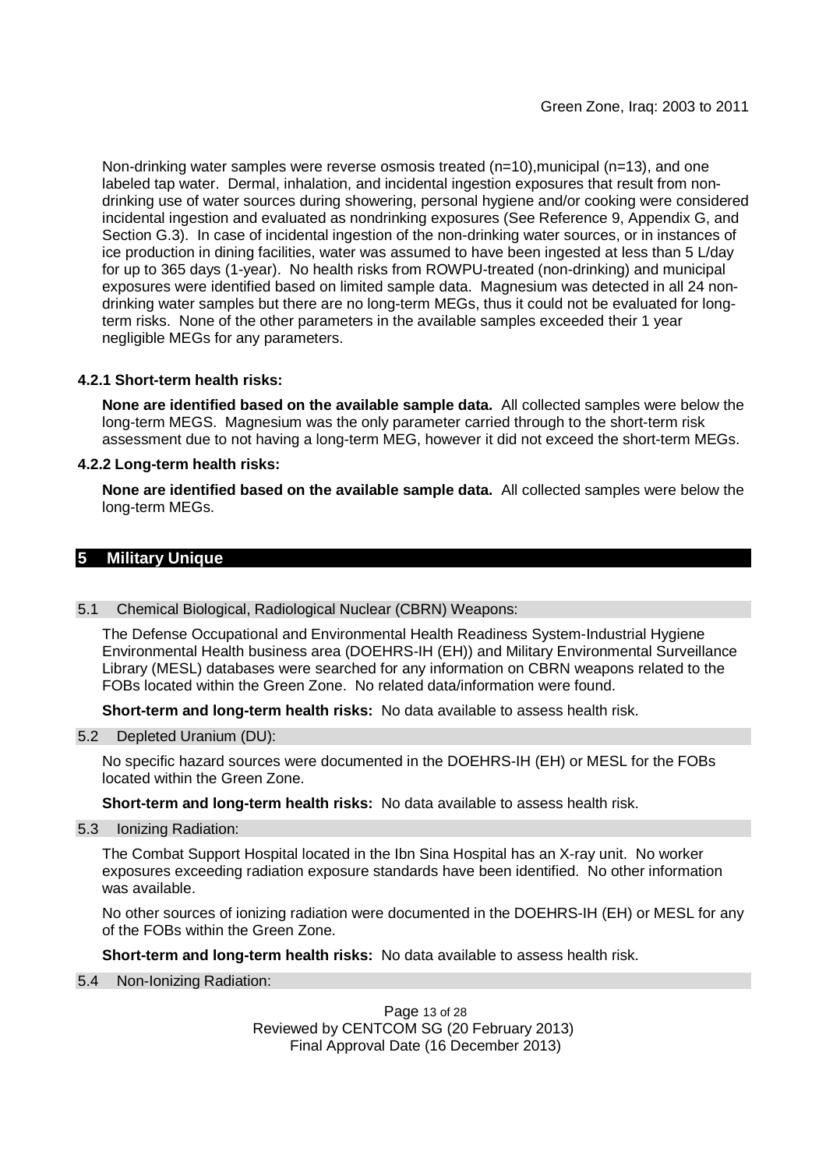Non-drinking water samples were reverse osmosis treated (n=10), municipal (n=13), and one labeled tap water. Dermal, inhalation, and incidental ingestion exposures that result from nondrinking use of water sources during showering, personal hygiene and/or cooking were considered incidental ingestion and evaluated as nondrinking exposures (See Reference 9, Appendix G, and Section G.3). In case of incidental ingestion of the non-drinking water sources, or in instances of ice production in dining facilities, water was assumed to have been ingested at less than 5 L/day for up to 365 days (1-year). No health risks from ROWPU-treated (non-drinking) and municipal exposures were identified based on limited sample data. Magnesium was detected in all 24 nondrinking water samples but there are no long-term MEGs, thus it could not be evaluated for longterm risks. None of the other parameters in the available samples exceeded their 1 year negligible MEGs for any parameters.

# **4.2.1 Short-term health risks:**

**None are identified based on the available sample data.** All collected samples were below the long-term MEGS. Magnesium was the only parameter carried through to the short-term risk assessment due to not having a long-term MEG, however it did not exceed the short-term MEGs.

# **4.2.2 Long-term health risks:**

**None are identified based on the available sample data.** All collected samples were below the long-term MEGs.

# **5 Military Unique**

## 5.1 Chemical Biological, Radiological Nuclear (CBRN) Weapons:

The Defense Occupational and Environmental Health Readiness System-Industrial Hygiene Environmental Health business area (DOEHRS-IH (EH)) and Military Environmental Surveillance Library (MESL) databases were searched for any information on CBRN weapons related to the FOBs located within the Green Zone. No related data/information were found.

**Short-term and long-term health risks:** No data available to assess health risk.

5.2 Depleted Uranium (DU):

No specific hazard sources were documented in the DOEHRS-IH (EH) or MESL for the FOBs located within the Green Zone.

**Short-term and long-term health risks:** No data available to assess health risk.

5.3 Ionizing Radiation:

The Combat Support Hospital located in the Ibn Sina Hospital has an X-ray unit. No worker exposures exceeding radiation exposure standards have been identified. No other information was available.

No other sources of ionizing radiation were documented in the DOEHRS-IH (EH) or MESL for any of the FOBs within the Green Zone.

**Short-term and long-term health risks:** No data available to assess health risk.

## 5.4 Non-Ionizing Radiation:

Page 13 of 28 Reviewed by CENTCOM SG (20 February 2013) Final Approval Date (16 December 2013)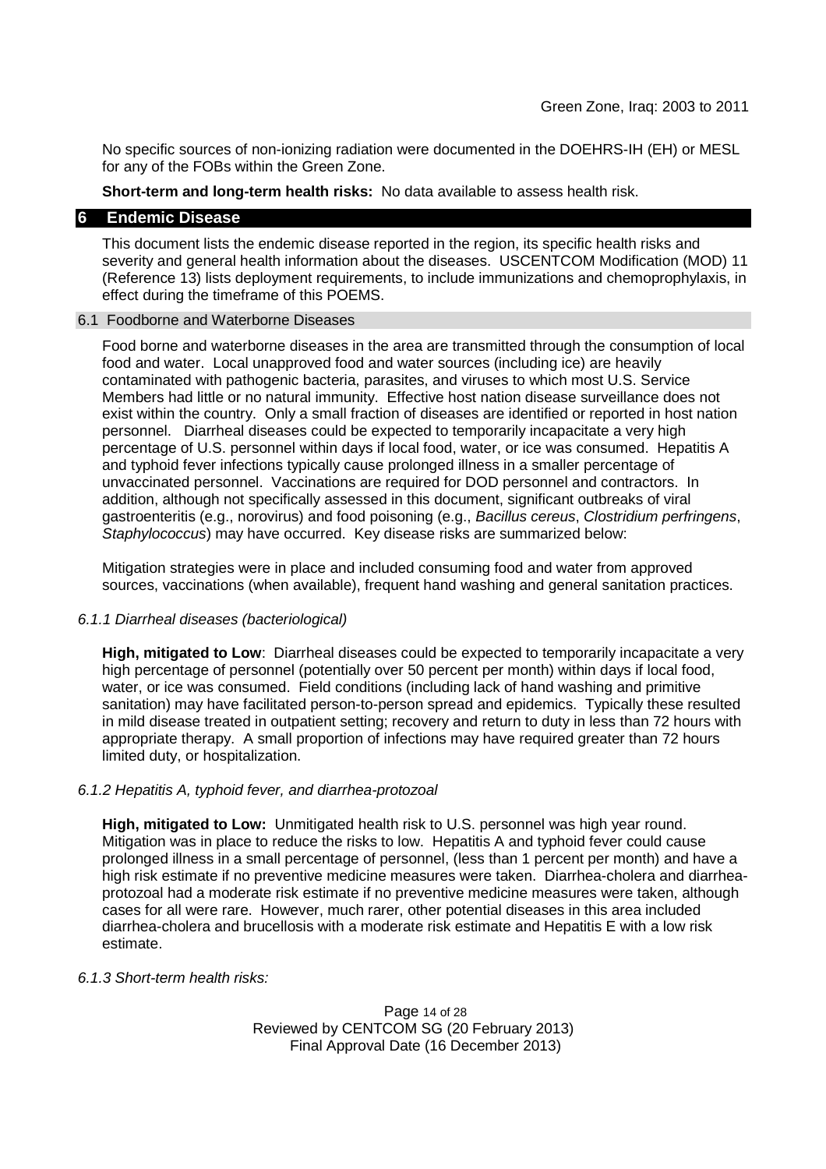No specific sources of non-ionizing radiation were documented in the DOEHRS-IH (EH) or MESL for any of the FOBs within the Green Zone.

**Short-term and long-term health risks:** No data available to assess health risk.

# **6 Endemic Disease**

This document lists the endemic disease reported in the region, its specific health risks and severity and general health information about the diseases. USCENTCOM Modification (MOD) 11 (Reference 13) lists deployment requirements, to include immunizations and chemoprophylaxis, in effect during the timeframe of this POEMS.

#### 6.1 Foodborne and Waterborne Diseases

Food borne and waterborne diseases in the area are transmitted through the consumption of local food and water. Local unapproved food and water sources (including ice) are heavily contaminated with pathogenic bacteria, parasites, and viruses to which most U.S. Service Members had little or no natural immunity. Effective host nation disease surveillance does not exist within the country. Only a small fraction of diseases are identified or reported in host nation personnel. Diarrheal diseases could be expected to temporarily incapacitate a very high percentage of U.S. personnel within days if local food, water, or ice was consumed. Hepatitis A and typhoid fever infections typically cause prolonged illness in a smaller percentage of unvaccinated personnel. Vaccinations are required for DOD personnel and contractors. In addition, although not specifically assessed in this document, significant outbreaks of viral gastroenteritis (e.g., norovirus) and food poisoning (e.g., *Bacillus cereus*, *Clostridium perfringens*, *Staphylococcus*) may have occurred. Key disease risks are summarized below:

Mitigation strategies were in place and included consuming food and water from approved sources, vaccinations (when available), frequent hand washing and general sanitation practices.

## *6.1.1 Diarrheal diseases (bacteriological)*

**High, mitigated to Low**: Diarrheal diseases could be expected to temporarily incapacitate a very high percentage of personnel (potentially over 50 percent per month) within days if local food, water, or ice was consumed. Field conditions (including lack of hand washing and primitive sanitation) may have facilitated person-to-person spread and epidemics. Typically these resulted in mild disease treated in outpatient setting; recovery and return to duty in less than 72 hours with appropriate therapy. A small proportion of infections may have required greater than 72 hours limited duty, or hospitalization.

## *6.1.2 Hepatitis A, typhoid fever, and diarrhea-protozoal*

**High, mitigated to Low:** Unmitigated health risk to U.S. personnel was high year round. Mitigation was in place to reduce the risks to low. Hepatitis A and typhoid fever could cause prolonged illness in a small percentage of personnel, (less than 1 percent per month) and have a high risk estimate if no preventive medicine measures were taken. Diarrhea-cholera and diarrheaprotozoal had a moderate risk estimate if no preventive medicine measures were taken, although cases for all were rare. However, much rarer, other potential diseases in this area included diarrhea-cholera and brucellosis with a moderate risk estimate and Hepatitis E with a low risk estimate.

#### *6.1.3 Short-term health risks:*

Page 14 of 28 Reviewed by CENTCOM SG (20 February 2013) Final Approval Date (16 December 2013)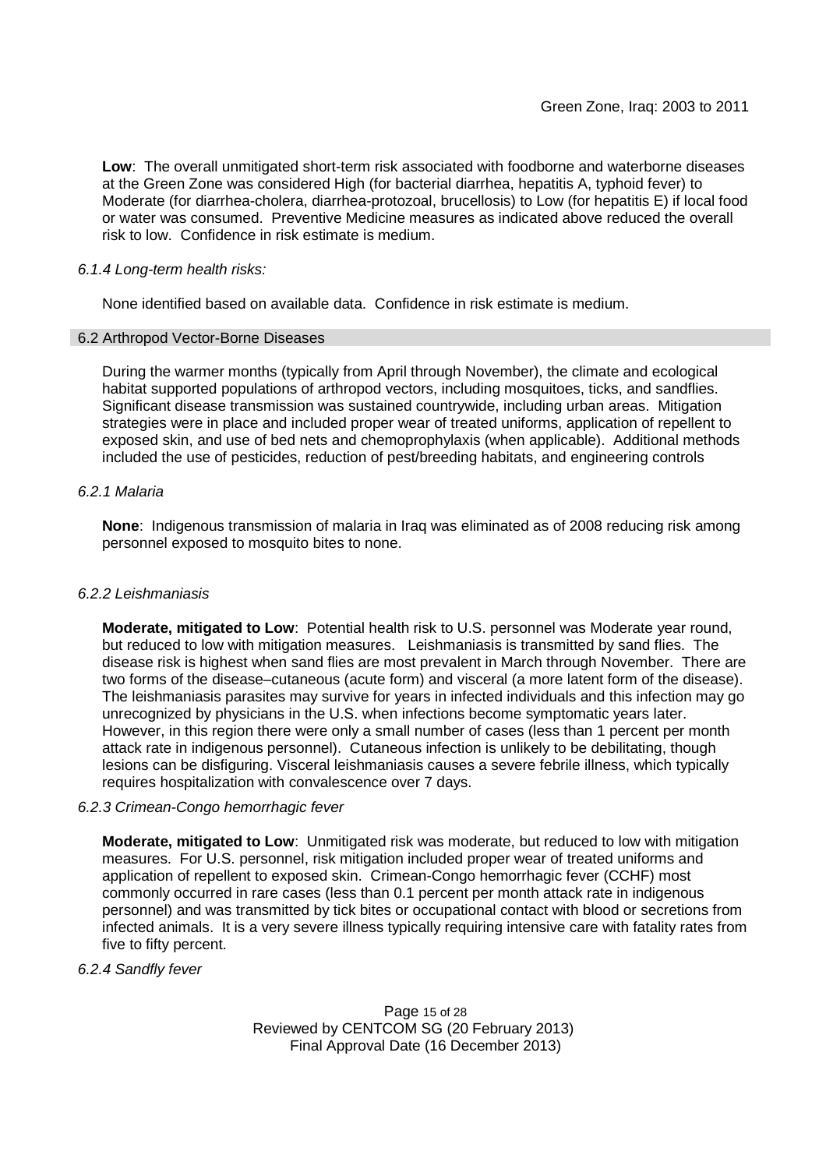**Low**: The overall unmitigated short-term risk associated with foodborne and waterborne diseases at the Green Zone was considered High (for bacterial diarrhea, hepatitis A, typhoid fever) to Moderate (for diarrhea-cholera, diarrhea-protozoal, brucellosis) to Low (for hepatitis E) if local food or water was consumed. Preventive Medicine measures as indicated above reduced the overall risk to low. Confidence in risk estimate is medium.

#### *6.1.4 Long-term health risks:*

None identified based on available data. Confidence in risk estimate is medium.

#### 6.2 Arthropod Vector-Borne Diseases

During the warmer months (typically from April through November), the climate and ecological habitat supported populations of arthropod vectors, including mosquitoes, ticks, and sandflies. Significant disease transmission was sustained countrywide, including urban areas. Mitigation strategies were in place and included proper wear of treated uniforms, application of repellent to exposed skin, and use of bed nets and chemoprophylaxis (when applicable). Additional methods included the use of pesticides, reduction of pest/breeding habitats, and engineering controls

#### *6.2.1 Malaria*

**None**: Indigenous transmission of malaria in Iraq was eliminated as of 2008 reducing risk among personnel exposed to mosquito bites to none.

## *6.2.2 Leishmaniasis*

**Moderate, mitigated to Low**: Potential health risk to U.S. personnel was Moderate year round, but reduced to low with mitigation measures. Leishmaniasis is transmitted by sand flies. The disease risk is highest when sand flies are most prevalent in March through November. There are two forms of the disease–cutaneous (acute form) and visceral (a more latent form of the disease). The leishmaniasis parasites may survive for years in infected individuals and this infection may go unrecognized by physicians in the U.S. when infections become symptomatic years later. However, in this region there were only a small number of cases (less than 1 percent per month attack rate in indigenous personnel). Cutaneous infection is unlikely to be debilitating, though lesions can be disfiguring. Visceral leishmaniasis causes a severe febrile illness, which typically requires hospitalization with convalescence over 7 days.

## *6.2.3 Crimean-Congo hemorrhagic fever*

**Moderate, mitigated to Low**: Unmitigated risk was moderate, but reduced to low with mitigation measures. For U.S. personnel, risk mitigation included proper wear of treated uniforms and application of repellent to exposed skin. Crimean-Congo hemorrhagic fever (CCHF) most commonly occurred in rare cases (less than 0.1 percent per month attack rate in indigenous personnel) and was transmitted by tick bites or occupational contact with blood or secretions from infected animals. It is a very severe illness typically requiring intensive care with fatality rates from five to fifty percent.

## *6.2.4 Sandfly fever*

Page 15 of 28 Reviewed by CENTCOM SG (20 February 2013) Final Approval Date (16 December 2013)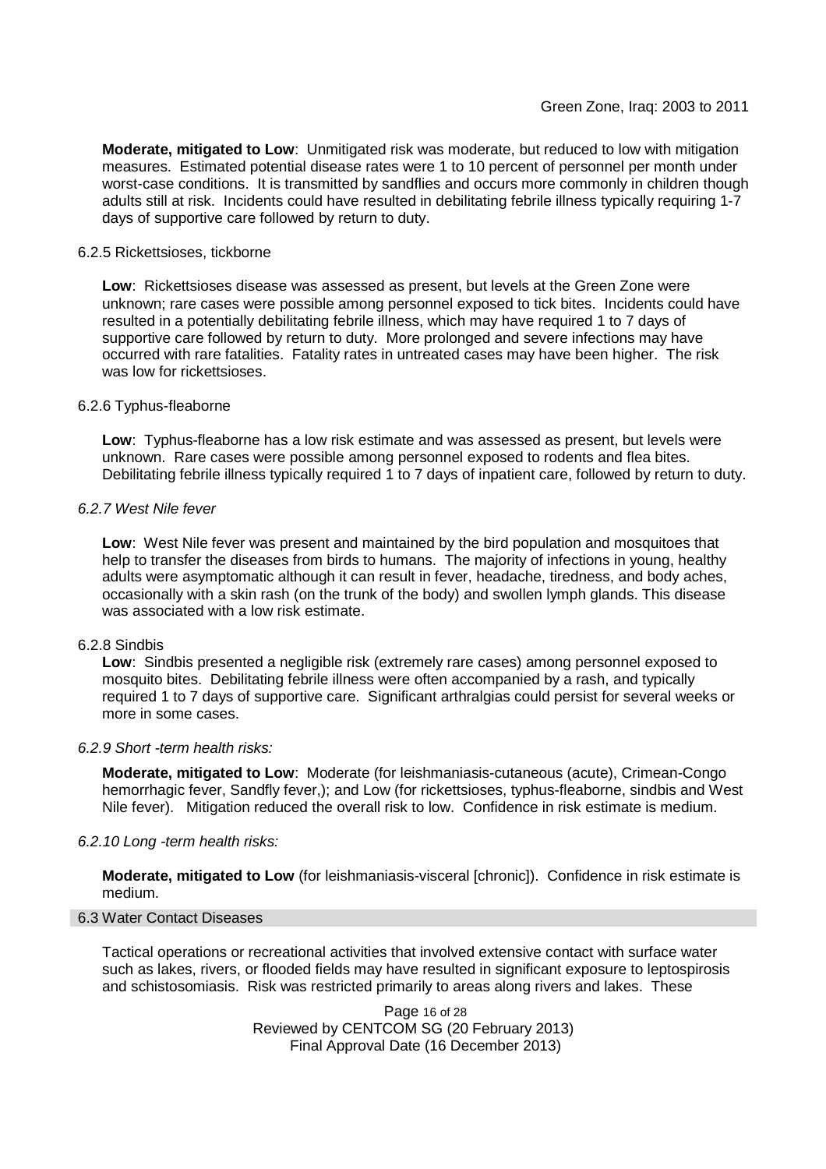**Moderate, mitigated to Low**: Unmitigated risk was moderate, but reduced to low with mitigation measures. Estimated potential disease rates were 1 to 10 percent of personnel per month under worst-case conditions. It is transmitted by sandflies and occurs more commonly in children though adults still at risk. Incidents could have resulted in debilitating febrile illness typically requiring 1-7 days of supportive care followed by return to duty.

#### 6.2.5 Rickettsioses, tickborne

**Low**: Rickettsioses disease was assessed as present, but levels at the Green Zone were unknown; rare cases were possible among personnel exposed to tick bites. Incidents could have resulted in a potentially debilitating febrile illness, which may have required 1 to 7 days of supportive care followed by return to duty. More prolonged and severe infections may have occurred with rare fatalities. Fatality rates in untreated cases may have been higher. The risk was low for rickettsioses.

#### 6.2.6 Typhus-fleaborne

**Low**: Typhus-fleaborne has a low risk estimate and was assessed as present, but levels were unknown. Rare cases were possible among personnel exposed to rodents and flea bites. Debilitating febrile illness typically required 1 to 7 days of inpatient care, followed by return to duty.

## *6.2.7 West Nile fever*

**Low**: West Nile fever was present and maintained by the bird population and mosquitoes that help to transfer the diseases from birds to humans. The majority of infections in young, healthy adults were asymptomatic although it can result in fever, headache, tiredness, and body aches, occasionally with a skin rash (on the trunk of the body) and swollen lymph glands. This disease was associated with a low risk estimate.

#### 6.2.8 Sindbis

**Low**: Sindbis presented a negligible risk (extremely rare cases) among personnel exposed to mosquito bites. Debilitating febrile illness were often accompanied by a rash, and typically required 1 to 7 days of supportive care. Significant arthralgias could persist for several weeks or more in some cases.

## *6.2.9 Short -term health risks:*

**Moderate, mitigated to Low**: Moderate (for leishmaniasis-cutaneous (acute), Crimean-Congo hemorrhagic fever, Sandfly fever,); and Low (for rickettsioses, typhus-fleaborne, sindbis and West Nile fever). Mitigation reduced the overall risk to low. Confidence in risk estimate is medium.

## *6.2.10 Long -term health risks:*

**Moderate, mitigated to Low** (for leishmaniasis-visceral [chronic]). Confidence in risk estimate is medium.

# 6.3 Water Contact Diseases

Tactical operations or recreational activities that involved extensive contact with surface water such as lakes, rivers, or flooded fields may have resulted in significant exposure to leptospirosis and schistosomiasis. Risk was restricted primarily to areas along rivers and lakes. These

> Page 16 of 28 Reviewed by CENTCOM SG (20 February 2013) Final Approval Date (16 December 2013)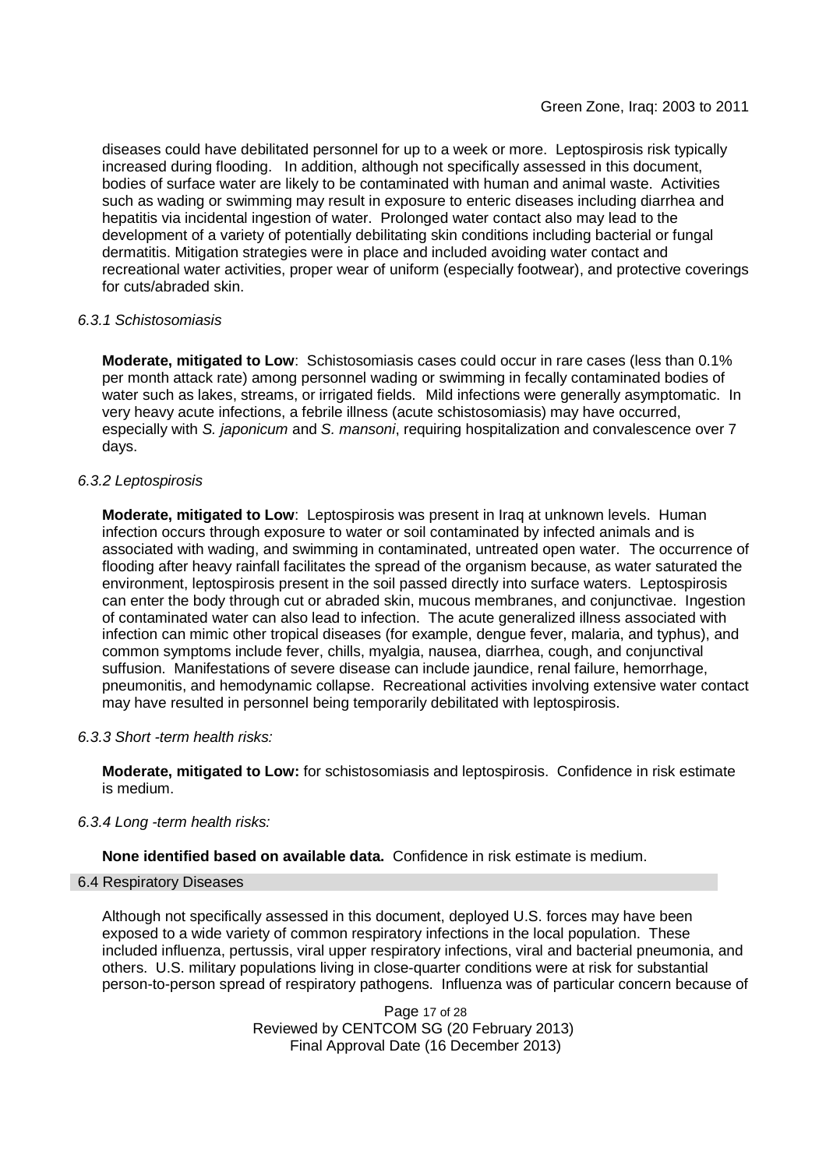diseases could have debilitated personnel for up to a week or more. Leptospirosis risk typically increased during flooding. In addition, although not specifically assessed in this document, bodies of surface water are likely to be contaminated with human and animal waste. Activities such as wading or swimming may result in exposure to enteric diseases including diarrhea and hepatitis via incidental ingestion of water. Prolonged water contact also may lead to the development of a variety of potentially debilitating skin conditions including bacterial or fungal dermatitis. Mitigation strategies were in place and included avoiding water contact and recreational water activities, proper wear of uniform (especially footwear), and protective coverings for cuts/abraded skin.

## *6.3.1 Schistosomiasis*

**Moderate, mitigated to Low**: Schistosomiasis cases could occur in rare cases (less than 0.1% per month attack rate) among personnel wading or swimming in fecally contaminated bodies of water such as lakes, streams, or irrigated fields. Mild infections were generally asymptomatic. In very heavy acute infections, a febrile illness (acute schistosomiasis) may have occurred, especially with *S. japonicum* and *S. mansoni*, requiring hospitalization and convalescence over 7 days.

#### *6.3.2 Leptospirosis*

**Moderate, mitigated to Low**: Leptospirosis was present in Iraq at unknown levels. Human infection occurs through exposure to water or soil contaminated by infected animals and is associated with wading, and swimming in contaminated, untreated open water. The occurrence of flooding after heavy rainfall facilitates the spread of the organism because, as water saturated the environment, leptospirosis present in the soil passed directly into surface waters. Leptospirosis can enter the body through cut or abraded skin, mucous membranes, and conjunctivae. Ingestion of contaminated water can also lead to infection. The acute generalized illness associated with infection can mimic other tropical diseases (for example, dengue fever, malaria, and typhus), and common symptoms include fever, chills, myalgia, nausea, diarrhea, cough, and conjunctival suffusion. Manifestations of severe disease can include jaundice, renal failure, hemorrhage, pneumonitis, and hemodynamic collapse. Recreational activities involving extensive water contact may have resulted in personnel being temporarily debilitated with leptospirosis.

#### *6.3.3 Short -term health risks:*

**Moderate, mitigated to Low:** for schistosomiasis and leptospirosis. Confidence in risk estimate is medium.

## *6.3.4 Long -term health risks:*

**None identified based on available data.** Confidence in risk estimate is medium.

# 6.4 Respiratory Diseases

Although not specifically assessed in this document, deployed U.S. forces may have been exposed to a wide variety of common respiratory infections in the local population. These included influenza, pertussis, viral upper respiratory infections, viral and bacterial pneumonia, and others. U.S. military populations living in close-quarter conditions were at risk for substantial person-to-person spread of respiratory pathogens. Influenza was of particular concern because of

> Page 17 of 28 Reviewed by CENTCOM SG (20 February 2013) Final Approval Date (16 December 2013)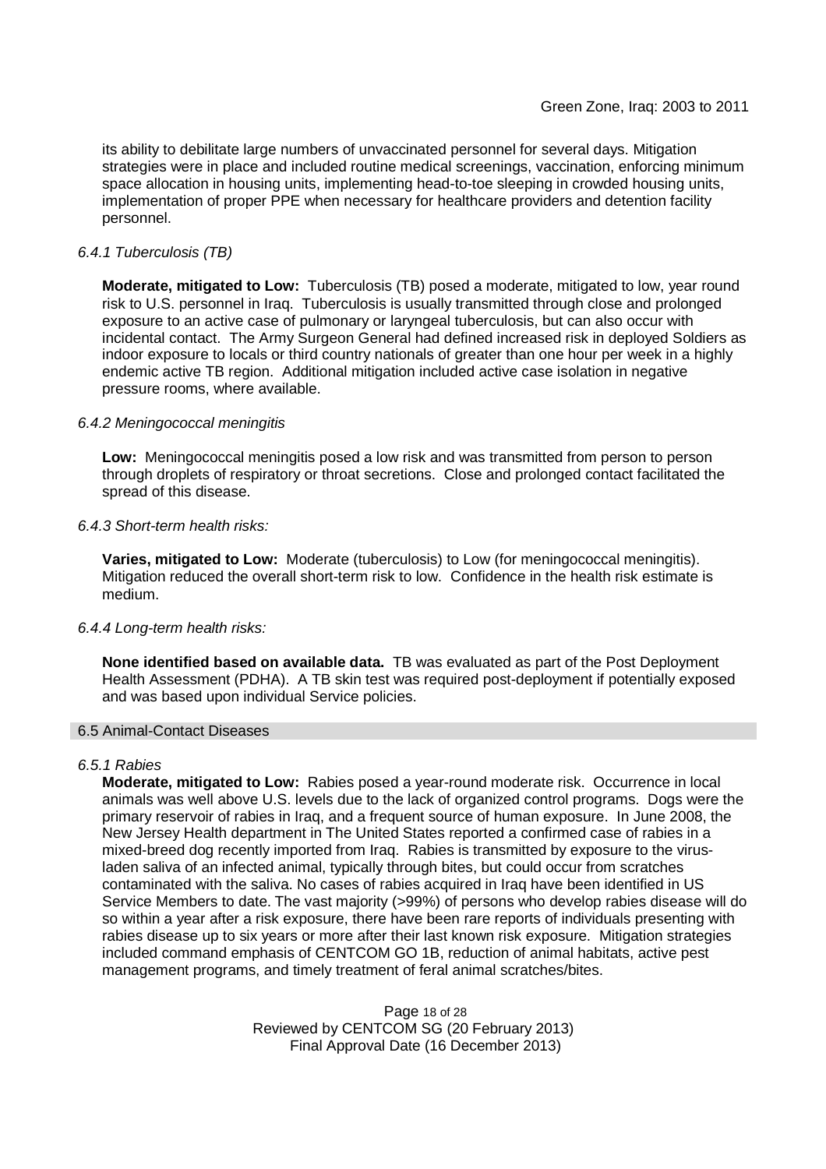its ability to debilitate large numbers of unvaccinated personnel for several days. Mitigation strategies were in place and included routine medical screenings, vaccination, enforcing minimum space allocation in housing units, implementing head-to-toe sleeping in crowded housing units, implementation of proper PPE when necessary for healthcare providers and detention facility personnel.

# *6.4.1 Tuberculosis (TB)*

**Moderate, mitigated to Low:** Tuberculosis (TB) posed a moderate, mitigated to low, year round risk to U.S. personnel in Iraq. Tuberculosis is usually transmitted through close and prolonged exposure to an active case of pulmonary or laryngeal tuberculosis, but can also occur with incidental contact. The Army Surgeon General had defined increased risk in deployed Soldiers as indoor exposure to locals or third country nationals of greater than one hour per week in a highly endemic active TB region. Additional mitigation included active case isolation in negative pressure rooms, where available.

## *6.4.2 Meningococcal meningitis*

**Low:** Meningococcal meningitis posed a low risk and was transmitted from person to person through droplets of respiratory or throat secretions. Close and prolonged contact facilitated the spread of this disease.

#### *6.4.3 Short-term health risks:*

**Varies, mitigated to Low:** Moderate (tuberculosis) to Low (for meningococcal meningitis). Mitigation reduced the overall short-term risk to low. Confidence in the health risk estimate is medium.

## *6.4.4 Long-term health risks:*

**None identified based on available data.** TB was evaluated as part of the Post Deployment Health Assessment (PDHA). A TB skin test was required post-deployment if potentially exposed and was based upon individual Service policies.

## 6.5 Animal-Contact Diseases

#### *6.5.1 Rabies*

**Moderate, mitigated to Low:** Rabies posed a year-round moderate risk. Occurrence in local animals was well above U.S. levels due to the lack of organized control programs. Dogs were the primary reservoir of rabies in Iraq, and a frequent source of human exposure. In June 2008, the New Jersey Health department in The United States reported a confirmed case of rabies in a mixed-breed dog recently imported from Iraq. Rabies is transmitted by exposure to the virusladen saliva of an infected animal, typically through bites, but could occur from scratches contaminated with the saliva. No cases of rabies acquired in Iraq have been identified in US Service Members to date. The vast majority (>99%) of persons who develop rabies disease will do so within a year after a risk exposure, there have been rare reports of individuals presenting with rabies disease up to six years or more after their last known risk exposure. Mitigation strategies included command emphasis of CENTCOM GO 1B, reduction of animal habitats, active pest management programs, and timely treatment of feral animal scratches/bites.

> Page 18 of 28 Reviewed by CENTCOM SG (20 February 2013) Final Approval Date (16 December 2013)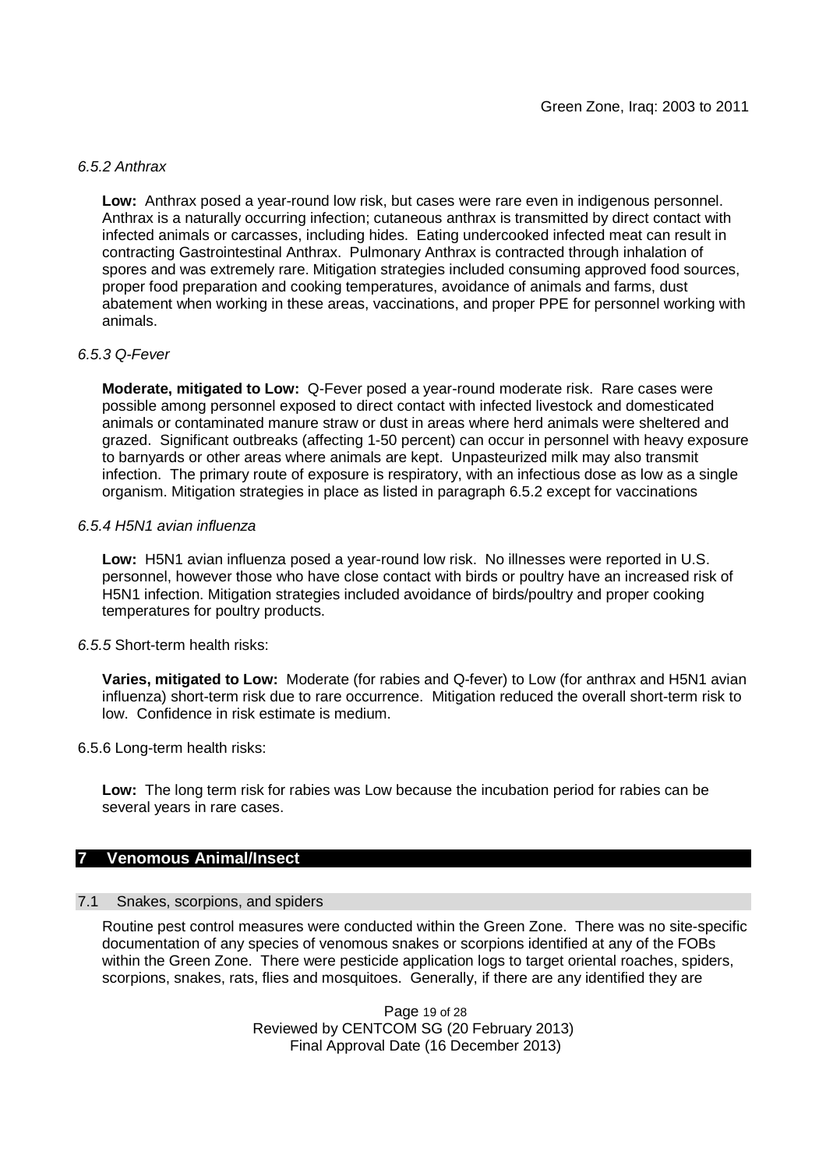## *6.5.2 Anthrax*

**Low:** Anthrax posed a year-round low risk, but cases were rare even in indigenous personnel. Anthrax is a naturally occurring infection; cutaneous anthrax is transmitted by direct contact with infected animals or carcasses, including hides. Eating undercooked infected meat can result in contracting Gastrointestinal Anthrax. Pulmonary Anthrax is contracted through inhalation of spores and was extremely rare. Mitigation strategies included consuming approved food sources, proper food preparation and cooking temperatures, avoidance of animals and farms, dust abatement when working in these areas, vaccinations, and proper PPE for personnel working with animals.

#### *6.5.3 Q-Fever*

**Moderate, mitigated to Low:** Q-Fever posed a year-round moderate risk. Rare cases were possible among personnel exposed to direct contact with infected livestock and domesticated animals or contaminated manure straw or dust in areas where herd animals were sheltered and grazed. Significant outbreaks (affecting 1-50 percent) can occur in personnel with heavy exposure to barnyards or other areas where animals are kept. Unpasteurized milk may also transmit infection. The primary route of exposure is respiratory, with an infectious dose as low as a single organism. Mitigation strategies in place as listed in paragraph 6.5.2 except for vaccinations

#### *6.5.4 H5N1 avian influenza*

**Low:** H5N1 avian influenza posed a year-round low risk. No illnesses were reported in U.S. personnel, however those who have close contact with birds or poultry have an increased risk of H5N1 infection. Mitigation strategies included avoidance of birds/poultry and proper cooking temperatures for poultry products.

## *6.5.5* Short-term health risks:

**Varies, mitigated to Low:** Moderate (for rabies and Q-fever) to Low (for anthrax and H5N1 avian influenza) short-term risk due to rare occurrence. Mitigation reduced the overall short-term risk to low. Confidence in risk estimate is medium.

#### 6.5.6 Long-term health risks:

**Low:** The long term risk for rabies was Low because the incubation period for rabies can be several years in rare cases.

# **7 Venomous Animal/Insect**

# 7.1 Snakes, scorpions, and spiders

Routine pest control measures were conducted within the Green Zone. There was no site-specific documentation of any species of venomous snakes or scorpions identified at any of the FOBs within the Green Zone. There were pesticide application logs to target oriental roaches, spiders, scorpions, snakes, rats, flies and mosquitoes. Generally, if there are any identified they are

> Page 19 of 28 Reviewed by CENTCOM SG (20 February 2013) Final Approval Date (16 December 2013)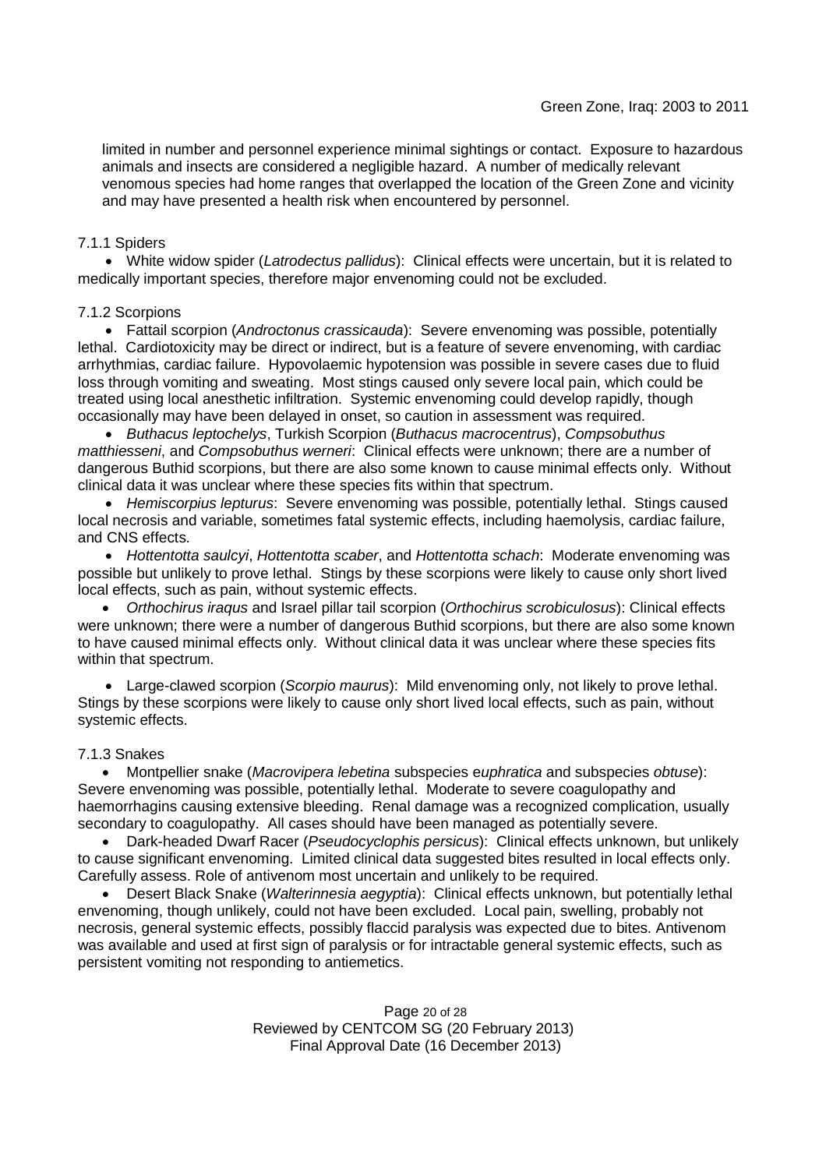limited in number and personnel experience minimal sightings or contact. Exposure to hazardous animals and insects are considered a negligible hazard. A number of medically relevant venomous species had home ranges that overlapped the location of the Green Zone and vicinity and may have presented a health risk when encountered by personnel.

## 7.1.1 Spiders

 White widow spider (*Latrodectus pallidus*): Clinical effects were uncertain, but it is related to medically important species, therefore major envenoming could not be excluded.

# 7.1.2 Scorpions

 Fattail scorpion (*Androctonus crassicauda*): Severe envenoming was possible, potentially lethal. Cardiotoxicity may be direct or indirect, but is a feature of severe envenoming, with cardiac arrhythmias, cardiac failure. Hypovolaemic hypotension was possible in severe cases due to fluid loss through vomiting and sweating. Most stings caused only severe local pain, which could be treated using local anesthetic infiltration. Systemic envenoming could develop rapidly, though occasionally may have been delayed in onset, so caution in assessment was required.

 *Buthacus leptochelys*, Turkish Scorpion (*Buthacus macrocentrus*), *Compsobuthus matthiesseni*, and *Compsobuthus werneri*: Clinical effects were unknown; there are a number of dangerous Buthid scorpions, but there are also some known to cause minimal effects only. Without clinical data it was unclear where these species fits within that spectrum.

 *Hemiscorpius lepturus*: Severe envenoming was possible, potentially lethal. Stings caused local necrosis and variable, sometimes fatal systemic effects, including haemolysis, cardiac failure, and CNS effects.

 *Hottentotta saulcyi*, *Hottentotta scaber*, and *Hottentotta schach*: Moderate envenoming was possible but unlikely to prove lethal. Stings by these scorpions were likely to cause only short lived local effects, such as pain, without systemic effects.

 *Orthochirus iraqus* and Israel pillar tail scorpion (*Orthochirus scrobiculosus*): Clinical effects were unknown; there were a number of dangerous Buthid scorpions, but there are also some known to have caused minimal effects only. Without clinical data it was unclear where these species fits within that spectrum.

 Large-clawed scorpion (*Scorpio maurus*): Mild envenoming only, not likely to prove lethal. Stings by these scorpions were likely to cause only short lived local effects, such as pain, without systemic effects.

## 7.1.3 Snakes

 Montpellier snake (*Macrovipera lebetina* subspecies e*uphratica* and subspecies *obtuse*): Severe envenoming was possible, potentially lethal. Moderate to severe coagulopathy and haemorrhagins causing extensive bleeding. Renal damage was a recognized complication, usually secondary to coagulopathy. All cases should have been managed as potentially severe.

 Dark-headed Dwarf Racer (*Pseudocyclophis persicus*): Clinical effects unknown, but unlikely to cause significant envenoming. Limited clinical data suggested bites resulted in local effects only. Carefully assess. Role of antivenom most uncertain and unlikely to be required.

 Desert Black Snake (*Walterinnesia aegyptia*): Clinical effects unknown, but potentially lethal envenoming, though unlikely, could not have been excluded. Local pain, swelling, probably not necrosis, general systemic effects, possibly flaccid paralysis was expected due to bites. Antivenom was available and used at first sign of paralysis or for intractable general systemic effects, such as persistent vomiting not responding to antiemetics.

> Page 20 of 28 Reviewed by CENTCOM SG (20 February 2013) Final Approval Date (16 December 2013)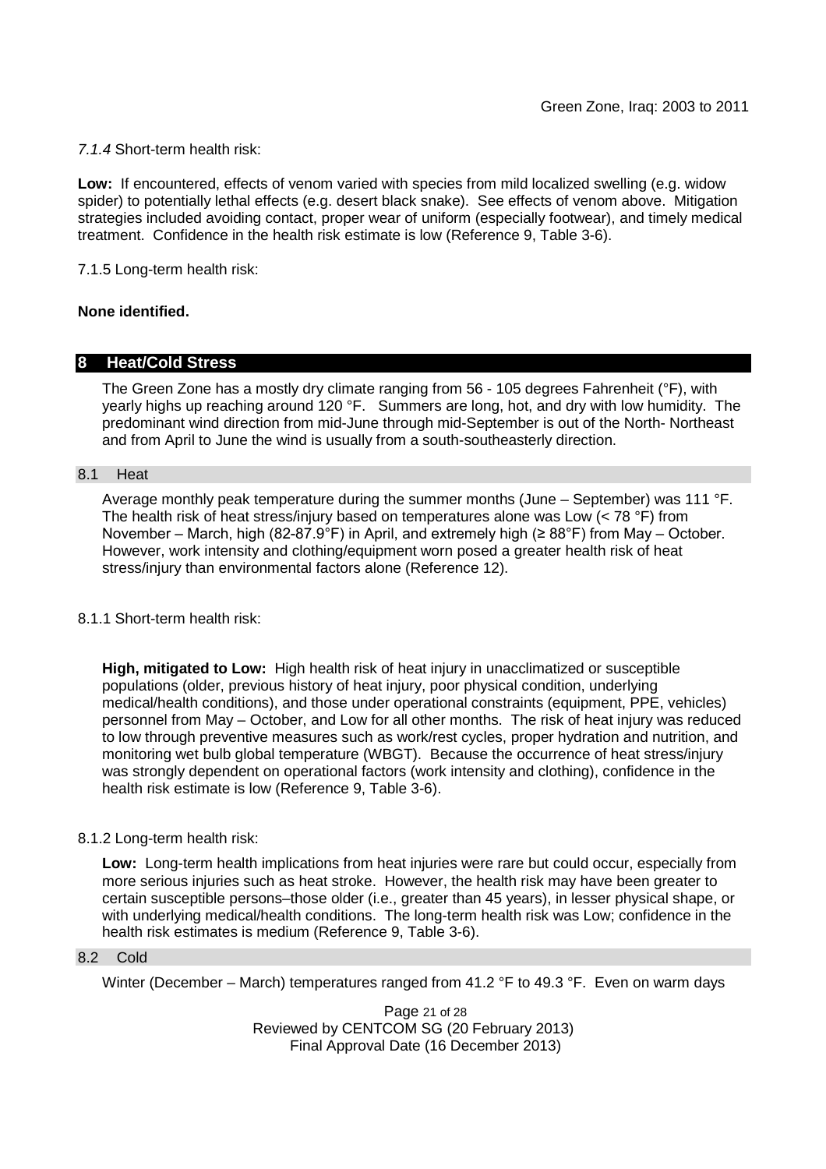## *7.1.4* Short-term health risk:

**Low:** If encountered, effects of venom varied with species from mild localized swelling (e.g. widow spider) to potentially lethal effects (e.g. desert black snake). See effects of venom above. Mitigation strategies included avoiding contact, proper wear of uniform (especially footwear), and timely medical treatment. Confidence in the health risk estimate is low (Reference 9, Table 3-6).

7.1.5 Long-term health risk:

#### **None identified.**

## **8 Heat/Cold Stress**

The Green Zone has a mostly dry climate ranging from 56 - 105 degrees Fahrenheit (°F), with yearly highs up reaching around 120 °F. Summers are long, hot, and dry with low humidity. The predominant wind direction from mid-June through mid-September is out of the North- Northeast and from April to June the wind is usually from a south-southeasterly direction.

#### 8.1 Heat

Average monthly peak temperature during the summer months (June – September) was 111 °F. The health risk of heat stress/injury based on temperatures alone was Low (< 78 °F) from November – March, high (82-87.9°F) in April, and extremely high ( $\geq 88^\circ$ F) from May – October. However, work intensity and clothing/equipment worn posed a greater health risk of heat stress/injury than environmental factors alone (Reference 12).

## 8.1.1 Short-term health risk:

**High, mitigated to Low:** High health risk of heat injury in unacclimatized or susceptible populations (older, previous history of heat injury, poor physical condition, underlying medical/health conditions), and those under operational constraints (equipment, PPE, vehicles) personnel from May – October, and Low for all other months. The risk of heat injury was reduced to low through preventive measures such as work/rest cycles, proper hydration and nutrition, and monitoring wet bulb global temperature (WBGT). Because the occurrence of heat stress/injury was strongly dependent on operational factors (work intensity and clothing), confidence in the health risk estimate is low (Reference 9, Table 3-6).

#### 8.1.2 Long-term health risk:

**Low:** Long-term health implications from heat injuries were rare but could occur, especially from more serious injuries such as heat stroke. However, the health risk may have been greater to certain susceptible persons–those older (i.e., greater than 45 years), in lesser physical shape, or with underlying medical/health conditions. The long-term health risk was Low; confidence in the health risk estimates is medium (Reference 9, Table 3-6).

#### 8.2 Cold

Winter (December – March) temperatures ranged from 41.2 °F to 49.3 °F. Even on warm days

Page 21 of 28 Reviewed by CENTCOM SG (20 February 2013) Final Approval Date (16 December 2013)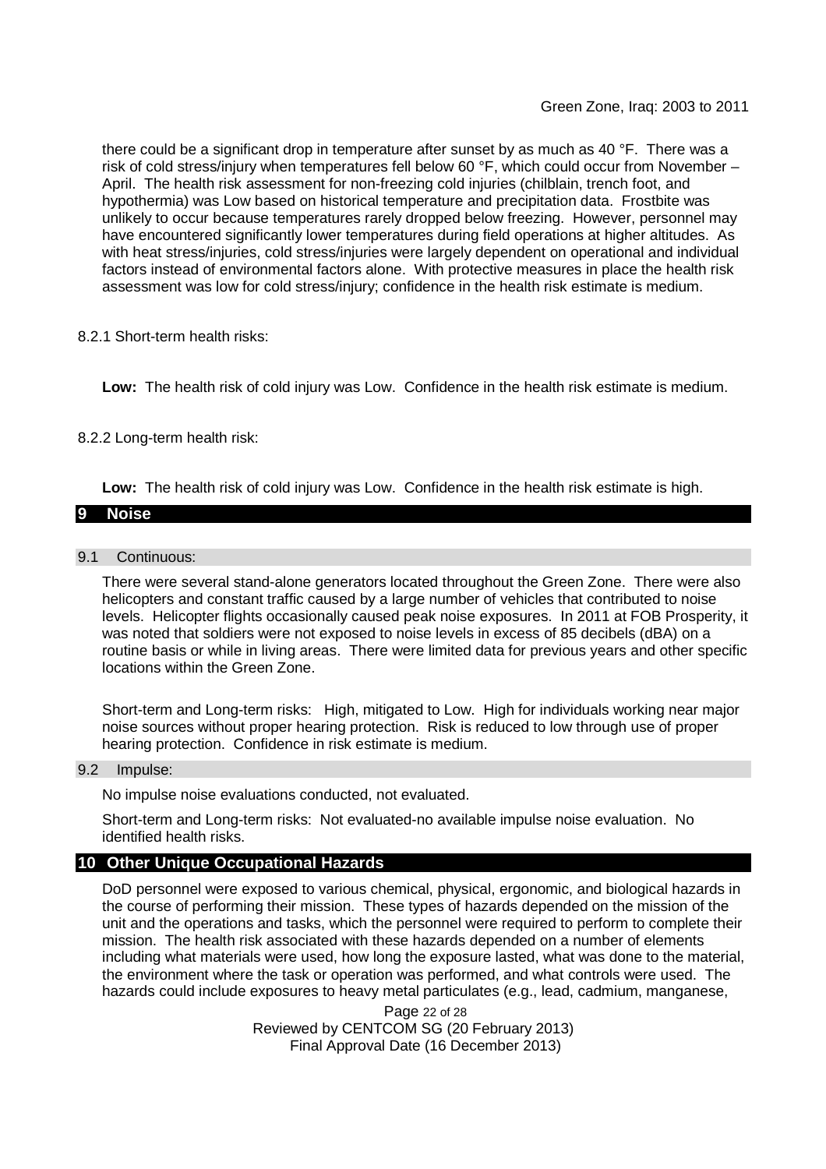there could be a significant drop in temperature after sunset by as much as 40  $\degree$ F. There was a risk of cold stress/injury when temperatures fell below 60 °F, which could occur from November – April. The health risk assessment for non-freezing cold injuries (chilblain, trench foot, and hypothermia) was Low based on historical temperature and precipitation data. Frostbite was unlikely to occur because temperatures rarely dropped below freezing. However, personnel may have encountered significantly lower temperatures during field operations at higher altitudes. As with heat stress/injuries, cold stress/injuries were largely dependent on operational and individual factors instead of environmental factors alone. With protective measures in place the health risk assessment was low for cold stress/injury; confidence in the health risk estimate is medium.

# 8.2.1 Short-term health risks:

**Low:** The health risk of cold injury was Low. Confidence in the health risk estimate is medium.

#### 8.2.2 Long-term health risk:

#### **Low:** The health risk of cold injury was Low. Confidence in the health risk estimate is high.

## **9 Noise**

#### 9.1 Continuous:

There were several stand-alone generators located throughout the Green Zone. There were also helicopters and constant traffic caused by a large number of vehicles that contributed to noise levels. Helicopter flights occasionally caused peak noise exposures. In 2011 at FOB Prosperity, it was noted that soldiers were not exposed to noise levels in excess of 85 decibels (dBA) on a routine basis or while in living areas. There were limited data for previous years and other specific locations within the Green Zone.

Short-term and Long-term risks: High, mitigated to Low. High for individuals working near major noise sources without proper hearing protection. Risk is reduced to low through use of proper hearing protection. Confidence in risk estimate is medium.

### 9.2 Impulse:

No impulse noise evaluations conducted, not evaluated.

Short-term and Long-term risks: Not evaluated-no available impulse noise evaluation. No identified health risks.

# **10 Other Unique Occupational Hazards**

DoD personnel were exposed to various chemical, physical, ergonomic, and biological hazards in the course of performing their mission. These types of hazards depended on the mission of the unit and the operations and tasks, which the personnel were required to perform to complete their mission. The health risk associated with these hazards depended on a number of elements including what materials were used, how long the exposure lasted, what was done to the material, the environment where the task or operation was performed, and what controls were used. The hazards could include exposures to heavy metal particulates (e.g., lead, cadmium, manganese,

> Page 22 of 28 Reviewed by CENTCOM SG (20 February 2013) Final Approval Date (16 December 2013)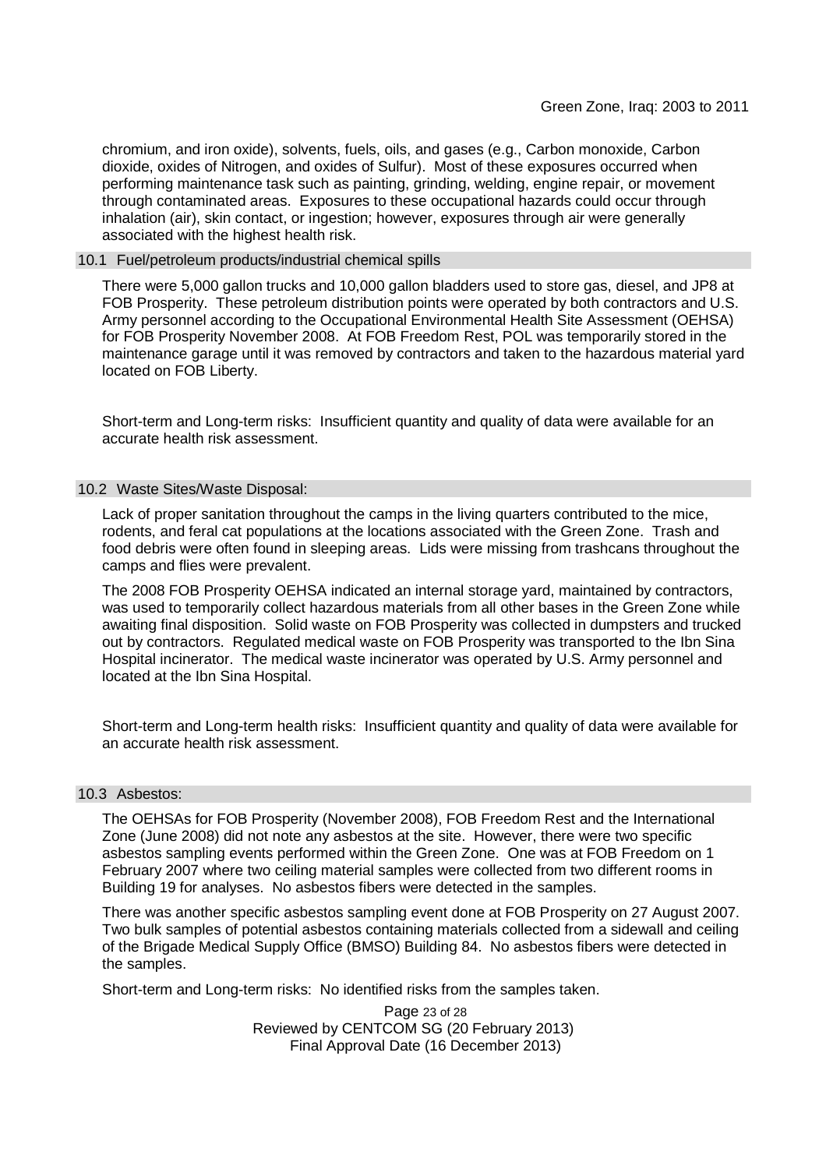chromium, and iron oxide), solvents, fuels, oils, and gases (e.g., Carbon monoxide, Carbon dioxide, oxides of Nitrogen, and oxides of Sulfur). Most of these exposures occurred when performing maintenance task such as painting, grinding, welding, engine repair, or movement through contaminated areas. Exposures to these occupational hazards could occur through inhalation (air), skin contact, or ingestion; however, exposures through air were generally associated with the highest health risk.

#### 10.1 Fuel/petroleum products/industrial chemical spills

There were 5,000 gallon trucks and 10,000 gallon bladders used to store gas, diesel, and JP8 at FOB Prosperity. These petroleum distribution points were operated by both contractors and U.S. Army personnel according to the Occupational Environmental Health Site Assessment (OEHSA) for FOB Prosperity November 2008. At FOB Freedom Rest, POL was temporarily stored in the maintenance garage until it was removed by contractors and taken to the hazardous material yard located on FOB Liberty.

Short-term and Long-term risks: Insufficient quantity and quality of data were available for an accurate health risk assessment.

#### 10.2 Waste Sites/Waste Disposal:

Lack of proper sanitation throughout the camps in the living quarters contributed to the mice, rodents, and feral cat populations at the locations associated with the Green Zone. Trash and food debris were often found in sleeping areas. Lids were missing from trashcans throughout the camps and flies were prevalent.

The 2008 FOB Prosperity OEHSA indicated an internal storage yard, maintained by contractors, was used to temporarily collect hazardous materials from all other bases in the Green Zone while awaiting final disposition. Solid waste on FOB Prosperity was collected in dumpsters and trucked out by contractors. Regulated medical waste on FOB Prosperity was transported to the Ibn Sina Hospital incinerator. The medical waste incinerator was operated by U.S. Army personnel and located at the Ibn Sina Hospital.

Short-term and Long-term health risks: Insufficient quantity and quality of data were available for an accurate health risk assessment.

#### 10.3 Asbestos:

The OEHSAs for FOB Prosperity (November 2008), FOB Freedom Rest and the International Zone (June 2008) did not note any asbestos at the site. However, there were two specific asbestos sampling events performed within the Green Zone. One was at FOB Freedom on 1 February 2007 where two ceiling material samples were collected from two different rooms in Building 19 for analyses. No asbestos fibers were detected in the samples.

There was another specific asbestos sampling event done at FOB Prosperity on 27 August 2007. Two bulk samples of potential asbestos containing materials collected from a sidewall and ceiling of the Brigade Medical Supply Office (BMSO) Building 84. No asbestos fibers were detected in the samples.

Short-term and Long-term risks: No identified risks from the samples taken.

Page 23 of 28 Reviewed by CENTCOM SG (20 February 2013) Final Approval Date (16 December 2013)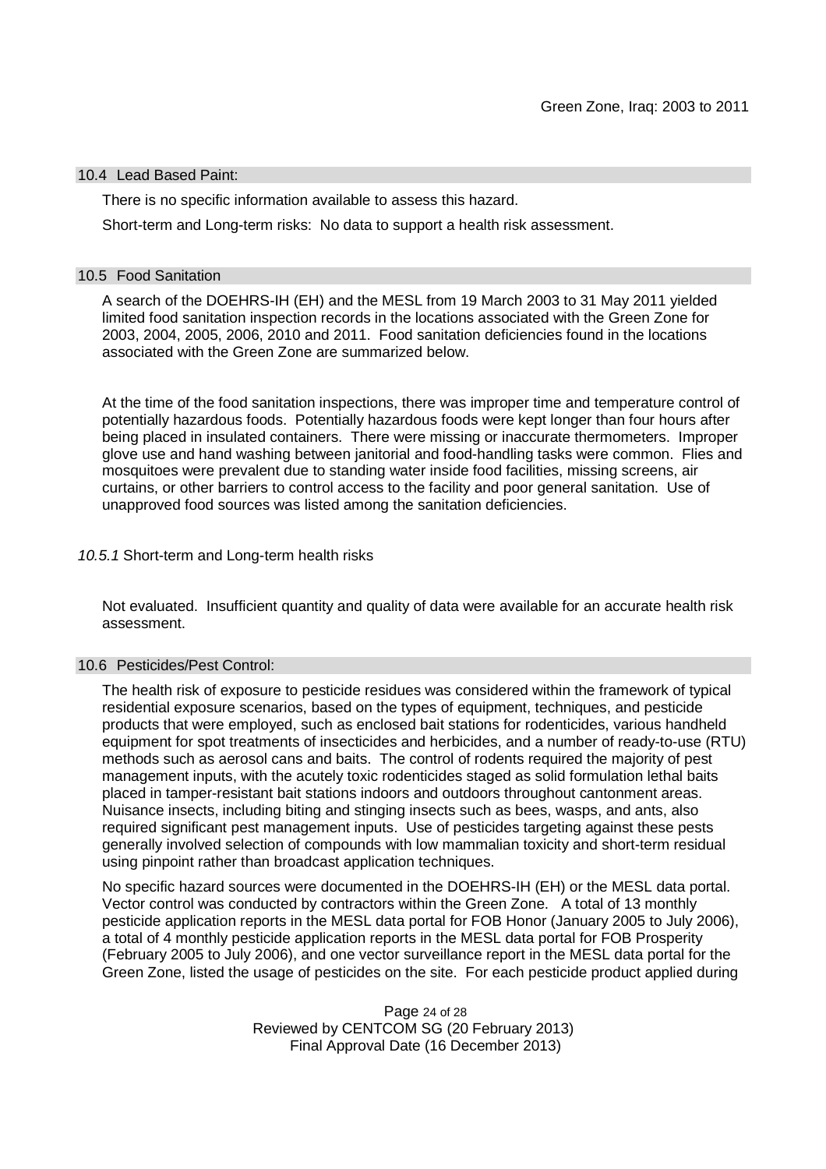## 10.4 Lead Based Paint:

There is no specific information available to assess this hazard.

Short-term and Long-term risks: No data to support a health risk assessment.

#### 10.5 Food Sanitation

A search of the DOEHRS-IH (EH) and the MESL from 19 March 2003 to 31 May 2011 yielded limited food sanitation inspection records in the locations associated with the Green Zone for 2003, 2004, 2005, 2006, 2010 and 2011. Food sanitation deficiencies found in the locations associated with the Green Zone are summarized below.

At the time of the food sanitation inspections, there was improper time and temperature control of potentially hazardous foods. Potentially hazardous foods were kept longer than four hours after being placed in insulated containers. There were missing or inaccurate thermometers. Improper glove use and hand washing between janitorial and food-handling tasks were common. Flies and mosquitoes were prevalent due to standing water inside food facilities, missing screens, air curtains, or other barriers to control access to the facility and poor general sanitation. Use of unapproved food sources was listed among the sanitation deficiencies.

#### *10.5.1* Short-term and Long-term health risks

Not evaluated. Insufficient quantity and quality of data were available for an accurate health risk assessment.

#### 10.6 Pesticides/Pest Control:

The health risk of exposure to pesticide residues was considered within the framework of typical residential exposure scenarios, based on the types of equipment, techniques, and pesticide products that were employed, such as enclosed bait stations for rodenticides, various handheld equipment for spot treatments of insecticides and herbicides, and a number of ready-to-use (RTU) methods such as aerosol cans and baits. The control of rodents required the majority of pest management inputs, with the acutely toxic rodenticides staged as solid formulation lethal baits placed in tamper-resistant bait stations indoors and outdoors throughout cantonment areas. Nuisance insects, including biting and stinging insects such as bees, wasps, and ants, also required significant pest management inputs. Use of pesticides targeting against these pests generally involved selection of compounds with low mammalian toxicity and short-term residual using pinpoint rather than broadcast application techniques.

No specific hazard sources were documented in the DOEHRS-IH (EH) or the MESL data portal. Vector control was conducted by contractors within the Green Zone. A total of 13 monthly pesticide application reports in the MESL data portal for FOB Honor (January 2005 to July 2006), a total of 4 monthly pesticide application reports in the MESL data portal for FOB Prosperity (February 2005 to July 2006), and one vector surveillance report in the MESL data portal for the Green Zone, listed the usage of pesticides on the site. For each pesticide product applied during

> Page 24 of 28 Reviewed by CENTCOM SG (20 February 2013) Final Approval Date (16 December 2013)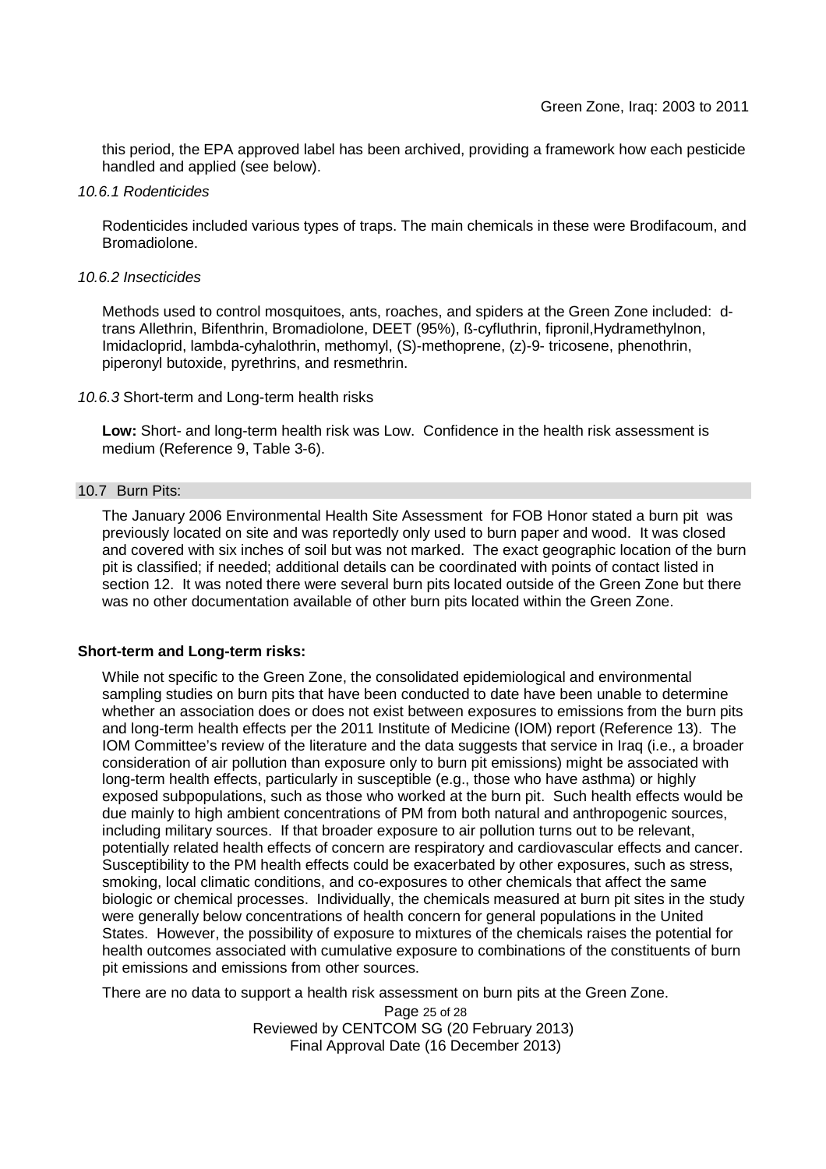this period, the EPA approved label has been archived, providing a framework how each pesticide handled and applied (see below).

#### *10.6.1 Rodenticides*

Rodenticides included various types of traps. The main chemicals in these were Brodifacoum, and Bromadiolone.

#### *10.6.2 Insecticides*

Methods used to control mosquitoes, ants, roaches, and spiders at the Green Zone included: dtrans Allethrin, Bifenthrin, Bromadiolone, DEET (95%), ß-cyfluthrin, fipronil,Hydramethylnon, Imidacloprid, lambda-cyhalothrin, methomyl, (S)-methoprene, (z)-9- tricosene, phenothrin, piperonyl butoxide, pyrethrins, and resmethrin.

## *10.6.3* Short-term and Long-term health risks

**Low:** Short- and long-term health risk was Low. Confidence in the health risk assessment is medium (Reference 9, Table 3-6).

#### 10.7 Burn Pits:

The January 2006 Environmental Health Site Assessment for FOB Honor stated a burn pit was previously located on site and was reportedly only used to burn paper and wood. It was closed and covered with six inches of soil but was not marked. The exact geographic location of the burn pit is classified; if needed; additional details can be coordinated with points of contact listed in section 12. It was noted there were several burn pits located outside of the Green Zone but there was no other documentation available of other burn pits located within the Green Zone.

## **Short-term and Long-term risks:**

While not specific to the Green Zone, the consolidated epidemiological and environmental sampling studies on burn pits that have been conducted to date have been unable to determine whether an association does or does not exist between exposures to emissions from the burn pits and long-term health effects per the 2011 Institute of Medicine (IOM) report (Reference 13). The IOM Committee's review of the literature and the data suggests that service in Iraq (i.e., a broader consideration of air pollution than exposure only to burn pit emissions) might be associated with long-term health effects, particularly in susceptible (e.g., those who have asthma) or highly exposed subpopulations, such as those who worked at the burn pit. Such health effects would be due mainly to high ambient concentrations of PM from both natural and anthropogenic sources, including military sources. If that broader exposure to air pollution turns out to be relevant, potentially related health effects of concern are respiratory and cardiovascular effects and cancer. Susceptibility to the PM health effects could be exacerbated by other exposures, such as stress, smoking, local climatic conditions, and co-exposures to other chemicals that affect the same biologic or chemical processes. Individually, the chemicals measured at burn pit sites in the study were generally below concentrations of health concern for general populations in the United States. However, the possibility of exposure to mixtures of the chemicals raises the potential for health outcomes associated with cumulative exposure to combinations of the constituents of burn pit emissions and emissions from other sources.

There are no data to support a health risk assessment on burn pits at the Green Zone.

Page 25 of 28 Reviewed by CENTCOM SG (20 February 2013) Final Approval Date (16 December 2013)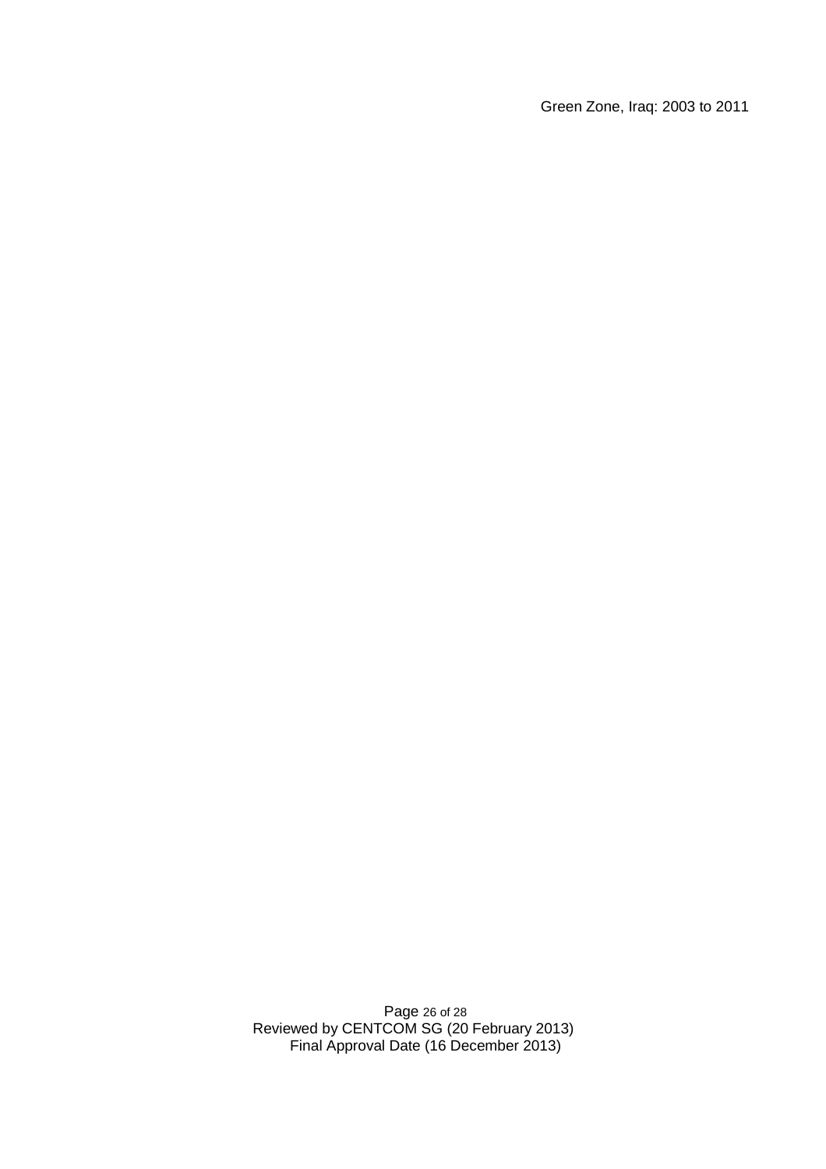Page 26 of 28 Reviewed by CENTCOM SG (20 February 2013) Final Approval Date (16 December 2013)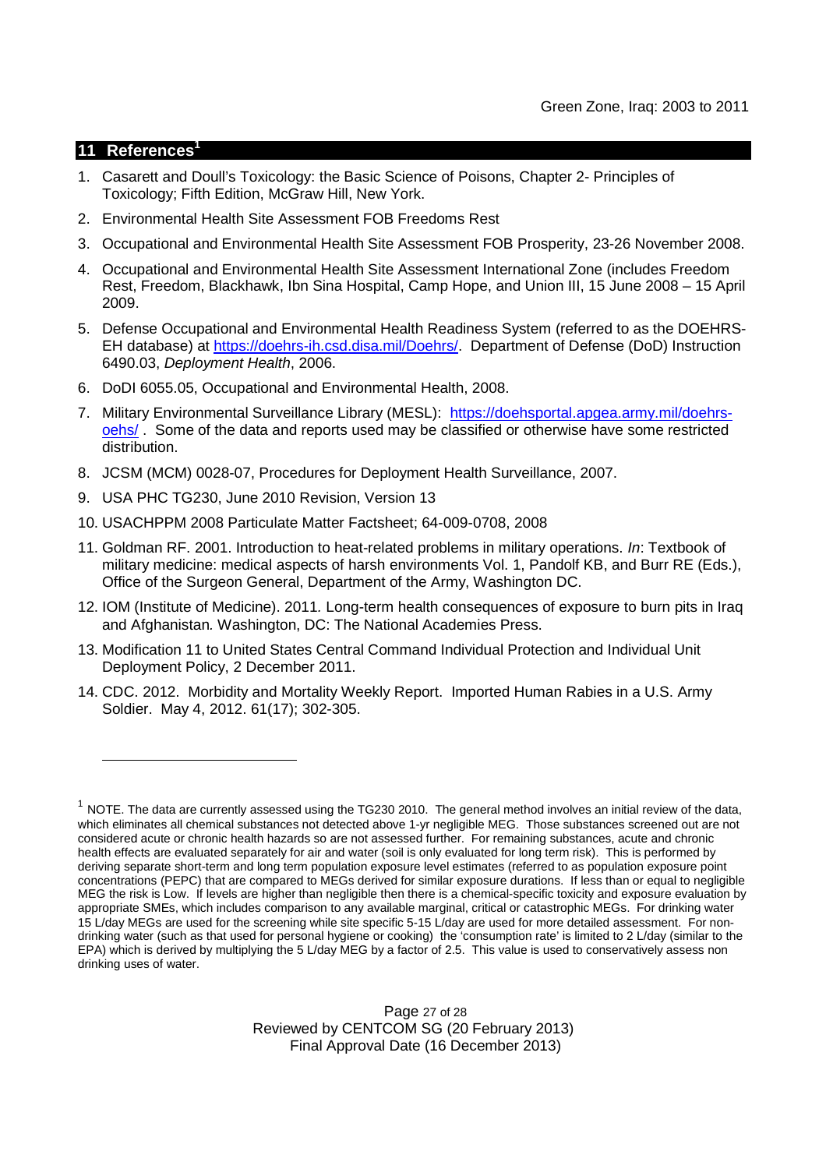# **11 References<sup>1</sup>**

- 1. Casarett and Doull's Toxicology: the Basic Science of Poisons, Chapter 2- Principles of Toxicology; Fifth Edition, McGraw Hill, New York.
- 2. Environmental Health Site Assessment FOB Freedoms Rest
- 3. Occupational and Environmental Health Site Assessment FOB Prosperity, 23-26 November 2008.
- 4. Occupational and Environmental Health Site Assessment International Zone (includes Freedom Rest, Freedom, Blackhawk, Ibn Sina Hospital, Camp Hope, and Union III, 15 June 2008 – 15 April 2009.
- 5. Defense Occupational and Environmental Health Readiness System (referred to as the DOEHRS-EH database) at https://doehrs-ih.csd.disa.mil/Doehrs/. Department of Defense (DoD) Instruction 6490.03, *Deployment Health*, 2006.
- 6. DoDI 6055.05, Occupational and Environmental Health, 2008.
- 7. Military Environmental Surveillance Library (MESL): https://doehsportal.apgea.army.mil/doehrsoehs/ . Some of the data and reports used may be classified or otherwise have some restricted distribution.
- 8. JCSM (MCM) 0028-07, Procedures for Deployment Health Surveillance, 2007.
- 9. USA PHC TG230, June 2010 Revision, Version 13
- 10. USACHPPM 2008 Particulate Matter Factsheet; 64-009-0708, 2008
- 11. Goldman RF. 2001. Introduction to heat-related problems in military operations. *In*: Textbook of military medicine: medical aspects of harsh environments Vol. 1, Pandolf KB, and Burr RE (Eds.), Office of the Surgeon General, Department of the Army, Washington DC.
- 12. IOM (Institute of Medicine). 2011*.* Long-term health consequences of exposure to burn pits in Iraq and Afghanistan*.* Washington, DC: The National Academies Press.
- 13. Modification 11 to United States Central Command Individual Protection and Individual Unit Deployment Policy, 2 December 2011.
- 14. CDC. 2012. Morbidity and Mortality Weekly Report. Imported Human Rabies in a U.S. Army Soldier. May 4, 2012. 61(17); 302-305.

 $<sup>1</sup>$  NOTE. The data are currently assessed using the TG230 2010. The general method involves an initial review of the data,</sup> which eliminates all chemical substances not detected above 1-yr negligible MEG. Those substances screened out are not considered acute or chronic health hazards so are not assessed further. For remaining substances, acute and chronic health effects are evaluated separately for air and water (soil is only evaluated for long term risk). This is performed by deriving separate short-term and long term population exposure level estimates (referred to as population exposure point concentrations (PEPC) that are compared to MEGs derived for similar exposure durations. If less than or equal to negligible MEG the risk is Low. If levels are higher than negligible then there is a chemical-specific toxicity and exposure evaluation by appropriate SMEs, which includes comparison to any available marginal, critical or catastrophic MEGs. For drinking water 15 L/day MEGs are used for the screening while site specific 5-15 L/day are used for more detailed assessment. For nondrinking water (such as that used for personal hygiene or cooking) the 'consumption rate' is limited to 2 L/day (similar to the EPA) which is derived by multiplying the 5 L/day MEG by a factor of 2.5. This value is used to conservatively assess non drinking uses of water.